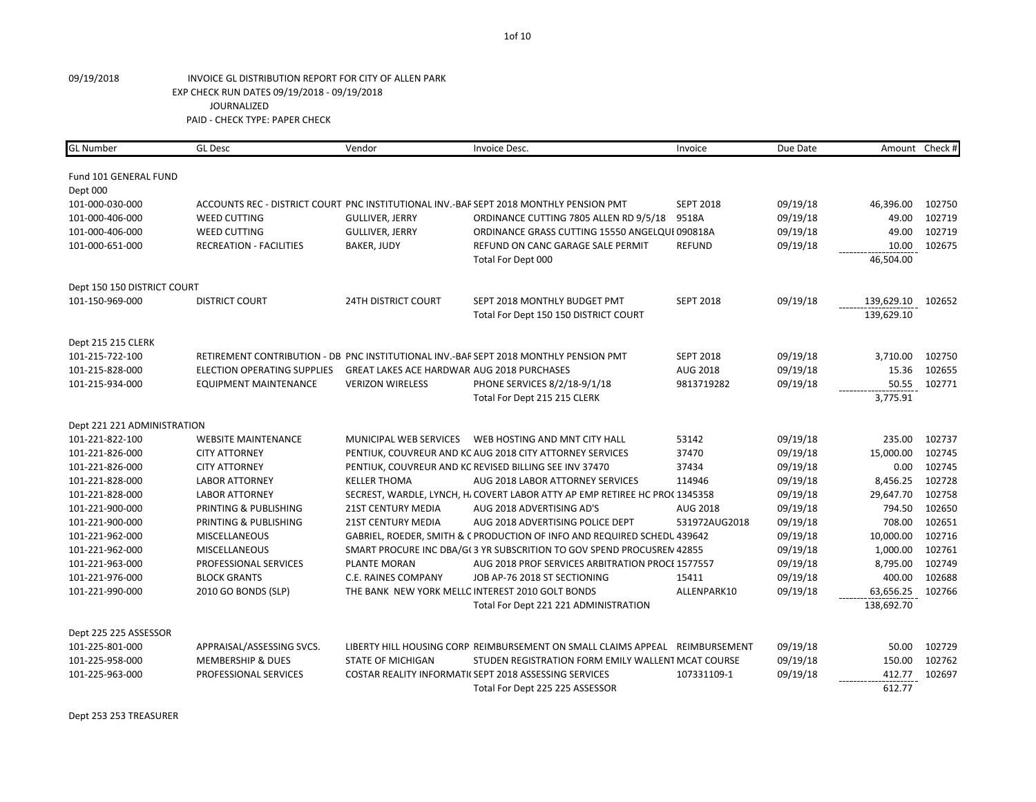| Fund 101 GENERAL FUND<br>Dept 000<br>ACCOUNTS REC - DISTRICT COURT PNC INSTITUTIONAL INV.-BAF SEPT 2018 MONTHLY PENSION PMT<br>102750<br>101-000-030-000<br><b>SEPT 2018</b><br>09/19/18<br>46,396.00<br>49.00<br>102719<br>101-000-406-000<br><b>WEED CUTTING</b><br><b>GULLIVER, JERRY</b><br>ORDINANCE CUTTING 7805 ALLEN RD 9/5/18<br>9518A<br>09/19/18<br>49.00<br>102719<br>101-000-406-000<br><b>WEED CUTTING</b><br><b>GULLIVER, JERRY</b><br>ORDINANCE GRASS CUTTING 15550 ANGELQUI 090818A<br>09/19/18<br>101-000-651-000<br><b>RECREATION - FACILITIES</b><br>BAKER, JUDY<br>REFUND ON CANC GARAGE SALE PERMIT<br><b>REFUND</b><br>09/19/18<br>10.00<br>102675<br>46,504.00<br>Total For Dept 000<br>Dept 150 150 DISTRICT COURT<br>09/19/18<br>101-150-969-000<br><b>DISTRICT COURT</b><br><b>24TH DISTRICT COURT</b><br>SEPT 2018 MONTHLY BUDGET PMT<br><b>SEPT 2018</b><br>139,629.10<br>102652<br>139,629.10<br>Total For Dept 150 150 DISTRICT COURT<br>Dept 215 215 CLERK<br>RETIREMENT CONTRIBUTION - DB PNC INSTITUTIONAL INV.-BAF SEPT 2018 MONTHLY PENSION PMT<br><b>SEPT 2018</b><br>3,710.00<br>102750<br>101-215-722-100<br>09/19/18<br>15.36<br>102655<br>101-215-828-000<br><b>ELECTION OPERATING SUPPLIES</b><br>GREAT LAKES ACE HARDWAR AUG 2018 PURCHASES<br>AUG 2018<br>09/19/18<br><b>VERIZON WIRELESS</b><br>PHONE SERVICES 8/2/18-9/1/18<br>9813719282<br>09/19/18<br>50.55<br>102771<br>101-215-934-000<br><b>EQUIPMENT MAINTENANCE</b><br>3,775.91<br>Total For Dept 215 215 CLERK<br>Dept 221 221 ADMINISTRATION<br>53142<br>09/19/18<br>235.00<br>102737<br>101-221-822-100<br><b>WEBSITE MAINTENANCE</b><br>MUNICIPAL WEB SERVICES<br>WEB HOSTING AND MNT CITY HALL<br>PENTIUK, COUVREUR AND KC AUG 2018 CITY ATTORNEY SERVICES<br>37470<br>09/19/18<br>15,000.00<br>102745<br>101-221-826-000<br><b>CITY ATTORNEY</b><br>102745<br>101-221-826-000<br><b>CITY ATTORNEY</b><br>PENTIUK, COUVREUR AND KC REVISED BILLING SEE INV 37470<br>37434<br>09/19/18<br>0.00<br>102728<br>101-221-828-000<br><b>LABOR ATTORNEY</b><br><b>KELLER THOMA</b><br>AUG 2018 LABOR ATTORNEY SERVICES<br>114946<br>09/19/18<br>8,456.25<br>29,647.70<br>102758<br>101-221-828-000<br><b>LABOR ATTORNEY</b><br>SECREST, WARDLE, LYNCH, H. COVERT LABOR ATTY AP EMP RETIREE HC PROC 1345358<br>09/19/18<br>09/19/18<br>794.50<br>102650<br>101-221-900-000<br>PRINTING & PUBLISHING<br><b>21ST CENTURY MEDIA</b><br>AUG 2018 ADVERTISING AD'S<br><b>AUG 2018</b><br>09/19/18<br>708.00<br>102651<br>101-221-900-000<br>PRINTING & PUBLISHING<br><b>21ST CENTURY MEDIA</b><br>AUG 2018 ADVERTISING POLICE DEPT<br>531972AUG2018<br>102716<br>101-221-962-000<br><b>MISCELLANEOUS</b><br>GABRIEL, ROEDER, SMITH & C PRODUCTION OF INFO AND REQUIRED SCHEDU 439642<br>09/19/18<br>10,000.00<br>102761<br>101-221-962-000<br><b>MISCELLANEOUS</b><br>SMART PROCURE INC DBA/G(3 YR SUBSCRITION TO GOV SPEND PROCUSREN 42855<br>09/19/18<br>1,000.00<br>8,795.00<br>102749<br>101-221-963-000<br>PROFESSIONAL SERVICES<br><b>PLANTE MORAN</b><br>AUG 2018 PROF SERVICES ARBITRATION PROCE 1577557<br>09/19/18<br>15411<br>09/19/18<br>400.00<br>102688<br>101-221-976-000<br><b>BLOCK GRANTS</b><br><b>C.E. RAINES COMPANY</b><br>JOB AP-76 2018 ST SECTIONING<br>THE BANK NEW YORK MELLC INTEREST 2010 GOLT BONDS<br>ALLENPARK10<br>09/19/18<br>63,656.25<br>102766<br>101-221-990-000<br>2010 GO BONDS (SLP)<br>138,692.70<br>Total For Dept 221 221 ADMINISTRATION<br>Dept 225 225 ASSESSOR<br>50.00<br>102729<br>101-225-801-000<br>APPRAISAL/ASSESSING SVCS.<br>09/19/18<br>LIBERTY HILL HOUSING CORP REIMBURSEMENT ON SMALL CLAIMS APPEAL REIMBURSEMENT<br>102762<br><b>MEMBERSHIP &amp; DUES</b><br><b>STATE OF MICHIGAN</b><br>09/19/18<br>150.00<br>101-225-958-000<br>STUDEN REGISTRATION FORM EMILY WALLENT MCAT COURSE<br>102697<br>101-225-963-000<br>PROFESSIONAL SERVICES<br>COSTAR REALITY INFORMATI( SEPT 2018 ASSESSING SERVICES<br>107331109-1<br>09/19/18<br>412.77<br>612.77<br>Total For Dept 225 225 ASSESSOR | <b>GL Number</b> | <b>GL Desc</b> | Vendor | Invoice Desc. | Invoice | Due Date | Amount Check # |
|--------------------------------------------------------------------------------------------------------------------------------------------------------------------------------------------------------------------------------------------------------------------------------------------------------------------------------------------------------------------------------------------------------------------------------------------------------------------------------------------------------------------------------------------------------------------------------------------------------------------------------------------------------------------------------------------------------------------------------------------------------------------------------------------------------------------------------------------------------------------------------------------------------------------------------------------------------------------------------------------------------------------------------------------------------------------------------------------------------------------------------------------------------------------------------------------------------------------------------------------------------------------------------------------------------------------------------------------------------------------------------------------------------------------------------------------------------------------------------------------------------------------------------------------------------------------------------------------------------------------------------------------------------------------------------------------------------------------------------------------------------------------------------------------------------------------------------------------------------------------------------------------------------------------------------------------------------------------------------------------------------------------------------------------------------------------------------------------------------------------------------------------------------------------------------------------------------------------------------------------------------------------------------------------------------------------------------------------------------------------------------------------------------------------------------------------------------------------------------------------------------------------------------------------------------------------------------------------------------------------------------------------------------------------------------------------------------------------------------------------------------------------------------------------------------------------------------------------------------------------------------------------------------------------------------------------------------------------------------------------------------------------------------------------------------------------------------------------------------------------------------------------------------------------------------------------------------------------------------------------------------------------------------------------------------------------------------------------------------------------------------------------------------------------------------------------------------------------------------------------------------------------------------------------------------------------------------------------------------------------------------------------------------------------------------------------------------------------------------------------------------------------------------------------------------------------------------------------------------------------------------------------------------------------------------------------------------------------------------------------------------------------------------------------------|------------------|----------------|--------|---------------|---------|----------|----------------|
|                                                                                                                                                                                                                                                                                                                                                                                                                                                                                                                                                                                                                                                                                                                                                                                                                                                                                                                                                                                                                                                                                                                                                                                                                                                                                                                                                                                                                                                                                                                                                                                                                                                                                                                                                                                                                                                                                                                                                                                                                                                                                                                                                                                                                                                                                                                                                                                                                                                                                                                                                                                                                                                                                                                                                                                                                                                                                                                                                                                                                                                                                                                                                                                                                                                                                                                                                                                                                                                                                                                                                                                                                                                                                                                                                                                                                                                                                                                                                                                                                                                  |                  |                |        |               |         |          |                |
|                                                                                                                                                                                                                                                                                                                                                                                                                                                                                                                                                                                                                                                                                                                                                                                                                                                                                                                                                                                                                                                                                                                                                                                                                                                                                                                                                                                                                                                                                                                                                                                                                                                                                                                                                                                                                                                                                                                                                                                                                                                                                                                                                                                                                                                                                                                                                                                                                                                                                                                                                                                                                                                                                                                                                                                                                                                                                                                                                                                                                                                                                                                                                                                                                                                                                                                                                                                                                                                                                                                                                                                                                                                                                                                                                                                                                                                                                                                                                                                                                                                  |                  |                |        |               |         |          |                |
|                                                                                                                                                                                                                                                                                                                                                                                                                                                                                                                                                                                                                                                                                                                                                                                                                                                                                                                                                                                                                                                                                                                                                                                                                                                                                                                                                                                                                                                                                                                                                                                                                                                                                                                                                                                                                                                                                                                                                                                                                                                                                                                                                                                                                                                                                                                                                                                                                                                                                                                                                                                                                                                                                                                                                                                                                                                                                                                                                                                                                                                                                                                                                                                                                                                                                                                                                                                                                                                                                                                                                                                                                                                                                                                                                                                                                                                                                                                                                                                                                                                  |                  |                |        |               |         |          |                |
|                                                                                                                                                                                                                                                                                                                                                                                                                                                                                                                                                                                                                                                                                                                                                                                                                                                                                                                                                                                                                                                                                                                                                                                                                                                                                                                                                                                                                                                                                                                                                                                                                                                                                                                                                                                                                                                                                                                                                                                                                                                                                                                                                                                                                                                                                                                                                                                                                                                                                                                                                                                                                                                                                                                                                                                                                                                                                                                                                                                                                                                                                                                                                                                                                                                                                                                                                                                                                                                                                                                                                                                                                                                                                                                                                                                                                                                                                                                                                                                                                                                  |                  |                |        |               |         |          |                |
|                                                                                                                                                                                                                                                                                                                                                                                                                                                                                                                                                                                                                                                                                                                                                                                                                                                                                                                                                                                                                                                                                                                                                                                                                                                                                                                                                                                                                                                                                                                                                                                                                                                                                                                                                                                                                                                                                                                                                                                                                                                                                                                                                                                                                                                                                                                                                                                                                                                                                                                                                                                                                                                                                                                                                                                                                                                                                                                                                                                                                                                                                                                                                                                                                                                                                                                                                                                                                                                                                                                                                                                                                                                                                                                                                                                                                                                                                                                                                                                                                                                  |                  |                |        |               |         |          |                |
|                                                                                                                                                                                                                                                                                                                                                                                                                                                                                                                                                                                                                                                                                                                                                                                                                                                                                                                                                                                                                                                                                                                                                                                                                                                                                                                                                                                                                                                                                                                                                                                                                                                                                                                                                                                                                                                                                                                                                                                                                                                                                                                                                                                                                                                                                                                                                                                                                                                                                                                                                                                                                                                                                                                                                                                                                                                                                                                                                                                                                                                                                                                                                                                                                                                                                                                                                                                                                                                                                                                                                                                                                                                                                                                                                                                                                                                                                                                                                                                                                                                  |                  |                |        |               |         |          |                |
|                                                                                                                                                                                                                                                                                                                                                                                                                                                                                                                                                                                                                                                                                                                                                                                                                                                                                                                                                                                                                                                                                                                                                                                                                                                                                                                                                                                                                                                                                                                                                                                                                                                                                                                                                                                                                                                                                                                                                                                                                                                                                                                                                                                                                                                                                                                                                                                                                                                                                                                                                                                                                                                                                                                                                                                                                                                                                                                                                                                                                                                                                                                                                                                                                                                                                                                                                                                                                                                                                                                                                                                                                                                                                                                                                                                                                                                                                                                                                                                                                                                  |                  |                |        |               |         |          |                |
|                                                                                                                                                                                                                                                                                                                                                                                                                                                                                                                                                                                                                                                                                                                                                                                                                                                                                                                                                                                                                                                                                                                                                                                                                                                                                                                                                                                                                                                                                                                                                                                                                                                                                                                                                                                                                                                                                                                                                                                                                                                                                                                                                                                                                                                                                                                                                                                                                                                                                                                                                                                                                                                                                                                                                                                                                                                                                                                                                                                                                                                                                                                                                                                                                                                                                                                                                                                                                                                                                                                                                                                                                                                                                                                                                                                                                                                                                                                                                                                                                                                  |                  |                |        |               |         |          |                |
|                                                                                                                                                                                                                                                                                                                                                                                                                                                                                                                                                                                                                                                                                                                                                                                                                                                                                                                                                                                                                                                                                                                                                                                                                                                                                                                                                                                                                                                                                                                                                                                                                                                                                                                                                                                                                                                                                                                                                                                                                                                                                                                                                                                                                                                                                                                                                                                                                                                                                                                                                                                                                                                                                                                                                                                                                                                                                                                                                                                                                                                                                                                                                                                                                                                                                                                                                                                                                                                                                                                                                                                                                                                                                                                                                                                                                                                                                                                                                                                                                                                  |                  |                |        |               |         |          |                |
|                                                                                                                                                                                                                                                                                                                                                                                                                                                                                                                                                                                                                                                                                                                                                                                                                                                                                                                                                                                                                                                                                                                                                                                                                                                                                                                                                                                                                                                                                                                                                                                                                                                                                                                                                                                                                                                                                                                                                                                                                                                                                                                                                                                                                                                                                                                                                                                                                                                                                                                                                                                                                                                                                                                                                                                                                                                                                                                                                                                                                                                                                                                                                                                                                                                                                                                                                                                                                                                                                                                                                                                                                                                                                                                                                                                                                                                                                                                                                                                                                                                  |                  |                |        |               |         |          |                |
|                                                                                                                                                                                                                                                                                                                                                                                                                                                                                                                                                                                                                                                                                                                                                                                                                                                                                                                                                                                                                                                                                                                                                                                                                                                                                                                                                                                                                                                                                                                                                                                                                                                                                                                                                                                                                                                                                                                                                                                                                                                                                                                                                                                                                                                                                                                                                                                                                                                                                                                                                                                                                                                                                                                                                                                                                                                                                                                                                                                                                                                                                                                                                                                                                                                                                                                                                                                                                                                                                                                                                                                                                                                                                                                                                                                                                                                                                                                                                                                                                                                  |                  |                |        |               |         |          |                |
|                                                                                                                                                                                                                                                                                                                                                                                                                                                                                                                                                                                                                                                                                                                                                                                                                                                                                                                                                                                                                                                                                                                                                                                                                                                                                                                                                                                                                                                                                                                                                                                                                                                                                                                                                                                                                                                                                                                                                                                                                                                                                                                                                                                                                                                                                                                                                                                                                                                                                                                                                                                                                                                                                                                                                                                                                                                                                                                                                                                                                                                                                                                                                                                                                                                                                                                                                                                                                                                                                                                                                                                                                                                                                                                                                                                                                                                                                                                                                                                                                                                  |                  |                |        |               |         |          |                |
|                                                                                                                                                                                                                                                                                                                                                                                                                                                                                                                                                                                                                                                                                                                                                                                                                                                                                                                                                                                                                                                                                                                                                                                                                                                                                                                                                                                                                                                                                                                                                                                                                                                                                                                                                                                                                                                                                                                                                                                                                                                                                                                                                                                                                                                                                                                                                                                                                                                                                                                                                                                                                                                                                                                                                                                                                                                                                                                                                                                                                                                                                                                                                                                                                                                                                                                                                                                                                                                                                                                                                                                                                                                                                                                                                                                                                                                                                                                                                                                                                                                  |                  |                |        |               |         |          |                |
|                                                                                                                                                                                                                                                                                                                                                                                                                                                                                                                                                                                                                                                                                                                                                                                                                                                                                                                                                                                                                                                                                                                                                                                                                                                                                                                                                                                                                                                                                                                                                                                                                                                                                                                                                                                                                                                                                                                                                                                                                                                                                                                                                                                                                                                                                                                                                                                                                                                                                                                                                                                                                                                                                                                                                                                                                                                                                                                                                                                                                                                                                                                                                                                                                                                                                                                                                                                                                                                                                                                                                                                                                                                                                                                                                                                                                                                                                                                                                                                                                                                  |                  |                |        |               |         |          |                |
|                                                                                                                                                                                                                                                                                                                                                                                                                                                                                                                                                                                                                                                                                                                                                                                                                                                                                                                                                                                                                                                                                                                                                                                                                                                                                                                                                                                                                                                                                                                                                                                                                                                                                                                                                                                                                                                                                                                                                                                                                                                                                                                                                                                                                                                                                                                                                                                                                                                                                                                                                                                                                                                                                                                                                                                                                                                                                                                                                                                                                                                                                                                                                                                                                                                                                                                                                                                                                                                                                                                                                                                                                                                                                                                                                                                                                                                                                                                                                                                                                                                  |                  |                |        |               |         |          |                |
|                                                                                                                                                                                                                                                                                                                                                                                                                                                                                                                                                                                                                                                                                                                                                                                                                                                                                                                                                                                                                                                                                                                                                                                                                                                                                                                                                                                                                                                                                                                                                                                                                                                                                                                                                                                                                                                                                                                                                                                                                                                                                                                                                                                                                                                                                                                                                                                                                                                                                                                                                                                                                                                                                                                                                                                                                                                                                                                                                                                                                                                                                                                                                                                                                                                                                                                                                                                                                                                                                                                                                                                                                                                                                                                                                                                                                                                                                                                                                                                                                                                  |                  |                |        |               |         |          |                |
|                                                                                                                                                                                                                                                                                                                                                                                                                                                                                                                                                                                                                                                                                                                                                                                                                                                                                                                                                                                                                                                                                                                                                                                                                                                                                                                                                                                                                                                                                                                                                                                                                                                                                                                                                                                                                                                                                                                                                                                                                                                                                                                                                                                                                                                                                                                                                                                                                                                                                                                                                                                                                                                                                                                                                                                                                                                                                                                                                                                                                                                                                                                                                                                                                                                                                                                                                                                                                                                                                                                                                                                                                                                                                                                                                                                                                                                                                                                                                                                                                                                  |                  |                |        |               |         |          |                |
|                                                                                                                                                                                                                                                                                                                                                                                                                                                                                                                                                                                                                                                                                                                                                                                                                                                                                                                                                                                                                                                                                                                                                                                                                                                                                                                                                                                                                                                                                                                                                                                                                                                                                                                                                                                                                                                                                                                                                                                                                                                                                                                                                                                                                                                                                                                                                                                                                                                                                                                                                                                                                                                                                                                                                                                                                                                                                                                                                                                                                                                                                                                                                                                                                                                                                                                                                                                                                                                                                                                                                                                                                                                                                                                                                                                                                                                                                                                                                                                                                                                  |                  |                |        |               |         |          |                |
|                                                                                                                                                                                                                                                                                                                                                                                                                                                                                                                                                                                                                                                                                                                                                                                                                                                                                                                                                                                                                                                                                                                                                                                                                                                                                                                                                                                                                                                                                                                                                                                                                                                                                                                                                                                                                                                                                                                                                                                                                                                                                                                                                                                                                                                                                                                                                                                                                                                                                                                                                                                                                                                                                                                                                                                                                                                                                                                                                                                                                                                                                                                                                                                                                                                                                                                                                                                                                                                                                                                                                                                                                                                                                                                                                                                                                                                                                                                                                                                                                                                  |                  |                |        |               |         |          |                |
|                                                                                                                                                                                                                                                                                                                                                                                                                                                                                                                                                                                                                                                                                                                                                                                                                                                                                                                                                                                                                                                                                                                                                                                                                                                                                                                                                                                                                                                                                                                                                                                                                                                                                                                                                                                                                                                                                                                                                                                                                                                                                                                                                                                                                                                                                                                                                                                                                                                                                                                                                                                                                                                                                                                                                                                                                                                                                                                                                                                                                                                                                                                                                                                                                                                                                                                                                                                                                                                                                                                                                                                                                                                                                                                                                                                                                                                                                                                                                                                                                                                  |                  |                |        |               |         |          |                |
|                                                                                                                                                                                                                                                                                                                                                                                                                                                                                                                                                                                                                                                                                                                                                                                                                                                                                                                                                                                                                                                                                                                                                                                                                                                                                                                                                                                                                                                                                                                                                                                                                                                                                                                                                                                                                                                                                                                                                                                                                                                                                                                                                                                                                                                                                                                                                                                                                                                                                                                                                                                                                                                                                                                                                                                                                                                                                                                                                                                                                                                                                                                                                                                                                                                                                                                                                                                                                                                                                                                                                                                                                                                                                                                                                                                                                                                                                                                                                                                                                                                  |                  |                |        |               |         |          |                |
|                                                                                                                                                                                                                                                                                                                                                                                                                                                                                                                                                                                                                                                                                                                                                                                                                                                                                                                                                                                                                                                                                                                                                                                                                                                                                                                                                                                                                                                                                                                                                                                                                                                                                                                                                                                                                                                                                                                                                                                                                                                                                                                                                                                                                                                                                                                                                                                                                                                                                                                                                                                                                                                                                                                                                                                                                                                                                                                                                                                                                                                                                                                                                                                                                                                                                                                                                                                                                                                                                                                                                                                                                                                                                                                                                                                                                                                                                                                                                                                                                                                  |                  |                |        |               |         |          |                |
|                                                                                                                                                                                                                                                                                                                                                                                                                                                                                                                                                                                                                                                                                                                                                                                                                                                                                                                                                                                                                                                                                                                                                                                                                                                                                                                                                                                                                                                                                                                                                                                                                                                                                                                                                                                                                                                                                                                                                                                                                                                                                                                                                                                                                                                                                                                                                                                                                                                                                                                                                                                                                                                                                                                                                                                                                                                                                                                                                                                                                                                                                                                                                                                                                                                                                                                                                                                                                                                                                                                                                                                                                                                                                                                                                                                                                                                                                                                                                                                                                                                  |                  |                |        |               |         |          |                |
|                                                                                                                                                                                                                                                                                                                                                                                                                                                                                                                                                                                                                                                                                                                                                                                                                                                                                                                                                                                                                                                                                                                                                                                                                                                                                                                                                                                                                                                                                                                                                                                                                                                                                                                                                                                                                                                                                                                                                                                                                                                                                                                                                                                                                                                                                                                                                                                                                                                                                                                                                                                                                                                                                                                                                                                                                                                                                                                                                                                                                                                                                                                                                                                                                                                                                                                                                                                                                                                                                                                                                                                                                                                                                                                                                                                                                                                                                                                                                                                                                                                  |                  |                |        |               |         |          |                |
|                                                                                                                                                                                                                                                                                                                                                                                                                                                                                                                                                                                                                                                                                                                                                                                                                                                                                                                                                                                                                                                                                                                                                                                                                                                                                                                                                                                                                                                                                                                                                                                                                                                                                                                                                                                                                                                                                                                                                                                                                                                                                                                                                                                                                                                                                                                                                                                                                                                                                                                                                                                                                                                                                                                                                                                                                                                                                                                                                                                                                                                                                                                                                                                                                                                                                                                                                                                                                                                                                                                                                                                                                                                                                                                                                                                                                                                                                                                                                                                                                                                  |                  |                |        |               |         |          |                |
|                                                                                                                                                                                                                                                                                                                                                                                                                                                                                                                                                                                                                                                                                                                                                                                                                                                                                                                                                                                                                                                                                                                                                                                                                                                                                                                                                                                                                                                                                                                                                                                                                                                                                                                                                                                                                                                                                                                                                                                                                                                                                                                                                                                                                                                                                                                                                                                                                                                                                                                                                                                                                                                                                                                                                                                                                                                                                                                                                                                                                                                                                                                                                                                                                                                                                                                                                                                                                                                                                                                                                                                                                                                                                                                                                                                                                                                                                                                                                                                                                                                  |                  |                |        |               |         |          |                |
|                                                                                                                                                                                                                                                                                                                                                                                                                                                                                                                                                                                                                                                                                                                                                                                                                                                                                                                                                                                                                                                                                                                                                                                                                                                                                                                                                                                                                                                                                                                                                                                                                                                                                                                                                                                                                                                                                                                                                                                                                                                                                                                                                                                                                                                                                                                                                                                                                                                                                                                                                                                                                                                                                                                                                                                                                                                                                                                                                                                                                                                                                                                                                                                                                                                                                                                                                                                                                                                                                                                                                                                                                                                                                                                                                                                                                                                                                                                                                                                                                                                  |                  |                |        |               |         |          |                |
|                                                                                                                                                                                                                                                                                                                                                                                                                                                                                                                                                                                                                                                                                                                                                                                                                                                                                                                                                                                                                                                                                                                                                                                                                                                                                                                                                                                                                                                                                                                                                                                                                                                                                                                                                                                                                                                                                                                                                                                                                                                                                                                                                                                                                                                                                                                                                                                                                                                                                                                                                                                                                                                                                                                                                                                                                                                                                                                                                                                                                                                                                                                                                                                                                                                                                                                                                                                                                                                                                                                                                                                                                                                                                                                                                                                                                                                                                                                                                                                                                                                  |                  |                |        |               |         |          |                |
|                                                                                                                                                                                                                                                                                                                                                                                                                                                                                                                                                                                                                                                                                                                                                                                                                                                                                                                                                                                                                                                                                                                                                                                                                                                                                                                                                                                                                                                                                                                                                                                                                                                                                                                                                                                                                                                                                                                                                                                                                                                                                                                                                                                                                                                                                                                                                                                                                                                                                                                                                                                                                                                                                                                                                                                                                                                                                                                                                                                                                                                                                                                                                                                                                                                                                                                                                                                                                                                                                                                                                                                                                                                                                                                                                                                                                                                                                                                                                                                                                                                  |                  |                |        |               |         |          |                |
|                                                                                                                                                                                                                                                                                                                                                                                                                                                                                                                                                                                                                                                                                                                                                                                                                                                                                                                                                                                                                                                                                                                                                                                                                                                                                                                                                                                                                                                                                                                                                                                                                                                                                                                                                                                                                                                                                                                                                                                                                                                                                                                                                                                                                                                                                                                                                                                                                                                                                                                                                                                                                                                                                                                                                                                                                                                                                                                                                                                                                                                                                                                                                                                                                                                                                                                                                                                                                                                                                                                                                                                                                                                                                                                                                                                                                                                                                                                                                                                                                                                  |                  |                |        |               |         |          |                |
|                                                                                                                                                                                                                                                                                                                                                                                                                                                                                                                                                                                                                                                                                                                                                                                                                                                                                                                                                                                                                                                                                                                                                                                                                                                                                                                                                                                                                                                                                                                                                                                                                                                                                                                                                                                                                                                                                                                                                                                                                                                                                                                                                                                                                                                                                                                                                                                                                                                                                                                                                                                                                                                                                                                                                                                                                                                                                                                                                                                                                                                                                                                                                                                                                                                                                                                                                                                                                                                                                                                                                                                                                                                                                                                                                                                                                                                                                                                                                                                                                                                  |                  |                |        |               |         |          |                |
|                                                                                                                                                                                                                                                                                                                                                                                                                                                                                                                                                                                                                                                                                                                                                                                                                                                                                                                                                                                                                                                                                                                                                                                                                                                                                                                                                                                                                                                                                                                                                                                                                                                                                                                                                                                                                                                                                                                                                                                                                                                                                                                                                                                                                                                                                                                                                                                                                                                                                                                                                                                                                                                                                                                                                                                                                                                                                                                                                                                                                                                                                                                                                                                                                                                                                                                                                                                                                                                                                                                                                                                                                                                                                                                                                                                                                                                                                                                                                                                                                                                  |                  |                |        |               |         |          |                |
|                                                                                                                                                                                                                                                                                                                                                                                                                                                                                                                                                                                                                                                                                                                                                                                                                                                                                                                                                                                                                                                                                                                                                                                                                                                                                                                                                                                                                                                                                                                                                                                                                                                                                                                                                                                                                                                                                                                                                                                                                                                                                                                                                                                                                                                                                                                                                                                                                                                                                                                                                                                                                                                                                                                                                                                                                                                                                                                                                                                                                                                                                                                                                                                                                                                                                                                                                                                                                                                                                                                                                                                                                                                                                                                                                                                                                                                                                                                                                                                                                                                  |                  |                |        |               |         |          |                |
|                                                                                                                                                                                                                                                                                                                                                                                                                                                                                                                                                                                                                                                                                                                                                                                                                                                                                                                                                                                                                                                                                                                                                                                                                                                                                                                                                                                                                                                                                                                                                                                                                                                                                                                                                                                                                                                                                                                                                                                                                                                                                                                                                                                                                                                                                                                                                                                                                                                                                                                                                                                                                                                                                                                                                                                                                                                                                                                                                                                                                                                                                                                                                                                                                                                                                                                                                                                                                                                                                                                                                                                                                                                                                                                                                                                                                                                                                                                                                                                                                                                  |                  |                |        |               |         |          |                |
|                                                                                                                                                                                                                                                                                                                                                                                                                                                                                                                                                                                                                                                                                                                                                                                                                                                                                                                                                                                                                                                                                                                                                                                                                                                                                                                                                                                                                                                                                                                                                                                                                                                                                                                                                                                                                                                                                                                                                                                                                                                                                                                                                                                                                                                                                                                                                                                                                                                                                                                                                                                                                                                                                                                                                                                                                                                                                                                                                                                                                                                                                                                                                                                                                                                                                                                                                                                                                                                                                                                                                                                                                                                                                                                                                                                                                                                                                                                                                                                                                                                  |                  |                |        |               |         |          |                |

Dept 253 253 TREASURER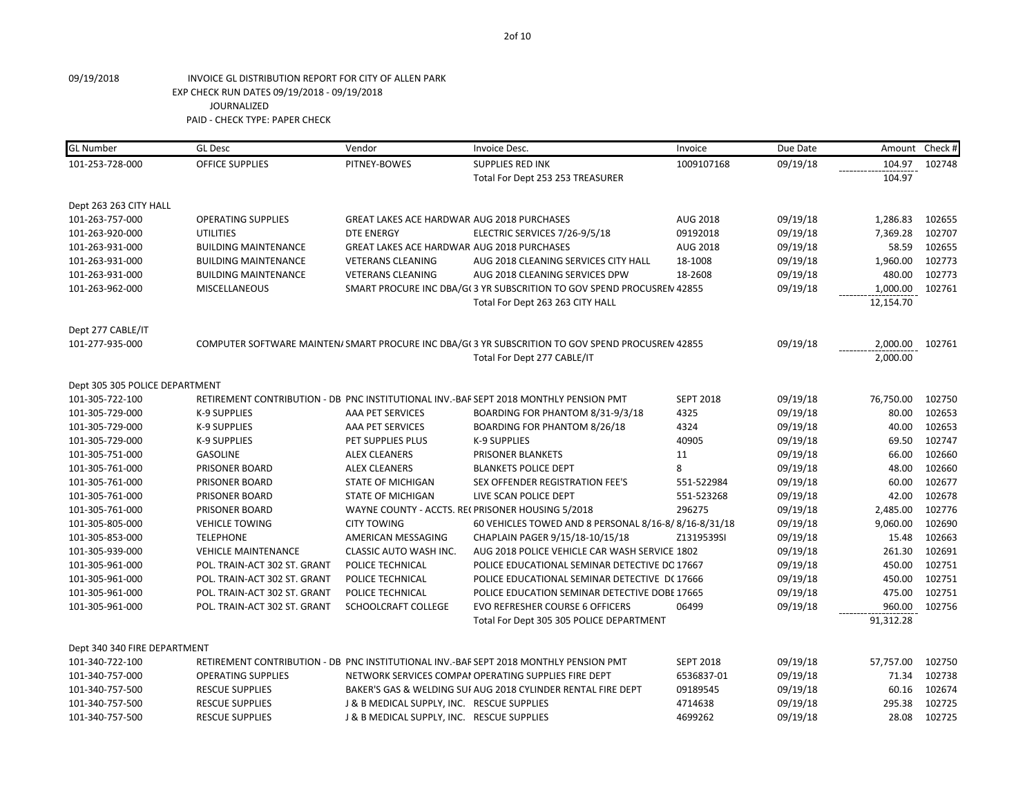| <b>GL Number</b>               | <b>GL Desc</b>               | Vendor                                            | Invoice Desc.                                                                                    | Invoice          | Due Date | Amount    | Check # |
|--------------------------------|------------------------------|---------------------------------------------------|--------------------------------------------------------------------------------------------------|------------------|----------|-----------|---------|
| 101-253-728-000                | <b>OFFICE SUPPLIES</b>       | PITNEY-BOWES                                      | <b>SUPPLIES RED INK</b>                                                                          | 1009107168       | 09/19/18 | 104.97    | 102748  |
|                                |                              |                                                   | Total For Dept 253 253 TREASURER                                                                 |                  |          | 104.97    |         |
| Dept 263 263 CITY HALL         |                              |                                                   |                                                                                                  |                  |          |           |         |
| 101-263-757-000                | <b>OPERATING SUPPLIES</b>    | <b>GREAT LAKES ACE HARDWAR AUG 2018 PURCHASES</b> |                                                                                                  | AUG 2018         | 09/19/18 | 1,286.83  | 102655  |
| 101-263-920-000                | <b>UTILITIES</b>             | <b>DTE ENERGY</b>                                 | ELECTRIC SERVICES 7/26-9/5/18                                                                    | 09192018         | 09/19/18 | 7,369.28  | 102707  |
| 101-263-931-000                | <b>BUILDING MAINTENANCE</b>  | <b>GREAT LAKES ACE HARDWAR AUG 2018 PURCHASES</b> |                                                                                                  | AUG 2018         | 09/19/18 | 58.59     | 102655  |
| 101-263-931-000                | <b>BUILDING MAINTENANCE</b>  | <b>VETERANS CLEANING</b>                          | AUG 2018 CLEANING SERVICES CITY HALL                                                             | 18-1008          | 09/19/18 | 1,960.00  | 102773  |
| 101-263-931-000                | <b>BUILDING MAINTENANCE</b>  | <b>VETERANS CLEANING</b>                          | AUG 2018 CLEANING SERVICES DPW                                                                   | 18-2608          | 09/19/18 | 480.00    | 102773  |
| 101-263-962-000                | <b>MISCELLANEOUS</b>         |                                                   | SMART PROCURE INC DBA/G(3 YR SUBSCRITION TO GOV SPEND PROCUSREN 42855                            |                  | 09/19/18 | 1,000.00  | 102761  |
|                                |                              |                                                   | Total For Dept 263 263 CITY HALL                                                                 |                  |          | 12,154.70 |         |
| Dept 277 CABLE/IT              |                              |                                                   |                                                                                                  |                  |          |           |         |
| 101-277-935-000                |                              |                                                   | COMPUTER SOFTWARE MAINTEN/ SMART PROCURE INC DBA/G(3 YR SUBSCRITION TO GOV SPEND PROCUSREN 42855 |                  | 09/19/18 | 2,000.00  | 102761  |
|                                |                              |                                                   | Total For Dept 277 CABLE/IT                                                                      |                  |          | 2,000.00  |         |
| Dept 305 305 POLICE DEPARTMENT |                              |                                                   |                                                                                                  |                  |          |           |         |
| 101-305-722-100                |                              |                                                   | RETIREMENT CONTRIBUTION - DB PNC INSTITUTIONAL INV.-BAF SEPT 2018 MONTHLY PENSION PMT            | <b>SEPT 2018</b> | 09/19/18 | 76,750.00 | 102750  |
| 101-305-729-000                | K-9 SUPPLIES                 | AAA PET SERVICES                                  | BOARDING FOR PHANTOM 8/31-9/3/18                                                                 | 4325             | 09/19/18 | 80.00     | 102653  |
| 101-305-729-000                | K-9 SUPPLIES                 | AAA PET SERVICES                                  | BOARDING FOR PHANTOM 8/26/18                                                                     | 4324             | 09/19/18 | 40.00     | 102653  |
| 101-305-729-000                | <b>K-9 SUPPLIES</b>          | PET SUPPLIES PLUS                                 | <b>K-9 SUPPLIES</b>                                                                              | 40905            | 09/19/18 | 69.50     | 102747  |
| 101-305-751-000                | <b>GASOLINE</b>              | <b>ALEX CLEANERS</b>                              | PRISONER BLANKETS                                                                                | 11               | 09/19/18 | 66.00     | 102660  |
| 101-305-761-000                | PRISONER BOARD               | <b>ALEX CLEANERS</b>                              | <b>BLANKETS POLICE DEPT</b>                                                                      | 8                | 09/19/18 | 48.00     | 102660  |
| 101-305-761-000                | PRISONER BOARD               | <b>STATE OF MICHIGAN</b>                          | SEX OFFENDER REGISTRATION FEE'S                                                                  | 551-522984       | 09/19/18 | 60.00     | 102677  |
| 101-305-761-000                | PRISONER BOARD               | <b>STATE OF MICHIGAN</b>                          | LIVE SCAN POLICE DEPT                                                                            | 551-523268       | 09/19/18 | 42.00     | 102678  |
| 101-305-761-000                | PRISONER BOARD               |                                                   | WAYNE COUNTY - ACCTS. RECPRISONER HOUSING 5/2018                                                 | 296275           | 09/19/18 | 2,485.00  | 102776  |
| 101-305-805-000                | <b>VEHICLE TOWING</b>        | <b>CITY TOWING</b>                                | 60 VEHICLES TOWED AND 8 PERSONAL 8/16-8/8/16-8/31/18                                             |                  | 09/19/18 | 9,060.00  | 102690  |
| 101-305-853-000                | <b>TELEPHONE</b>             | AMERICAN MESSAGING                                | CHAPLAIN PAGER 9/15/18-10/15/18                                                                  | Z1319539SI       | 09/19/18 | 15.48     | 102663  |
| 101-305-939-000                | <b>VEHICLE MAINTENANCE</b>   | CLASSIC AUTO WASH INC.                            | AUG 2018 POLICE VEHICLE CAR WASH SERVICE 1802                                                    |                  | 09/19/18 | 261.30    | 102691  |
| 101-305-961-000                | POL. TRAIN-ACT 302 ST. GRANT | POLICE TECHNICAL                                  | POLICE EDUCATIONAL SEMINAR DETECTIVE DC 17667                                                    |                  | 09/19/18 | 450.00    | 102751  |
| 101-305-961-000                | POL. TRAIN-ACT 302 ST. GRANT | POLICE TECHNICAL                                  | POLICE EDUCATIONAL SEMINAR DETECTIVE DC 17666                                                    |                  | 09/19/18 | 450.00    | 102751  |
| 101-305-961-000                | POL. TRAIN-ACT 302 ST. GRANT | POLICE TECHNICAL                                  | POLICE EDUCATION SEMINAR DETECTIVE DOBE 17665                                                    |                  | 09/19/18 | 475.00    | 102751  |
| 101-305-961-000                | POL. TRAIN-ACT 302 ST. GRANT | SCHOOLCRAFT COLLEGE                               | <b>EVO REFRESHER COURSE 6 OFFICERS</b>                                                           | 06499            | 09/19/18 | 960.00    | 102756  |
|                                |                              |                                                   | Total For Dept 305 305 POLICE DEPARTMENT                                                         |                  |          | 91,312.28 |         |
| Dept 340 340 FIRE DEPARTMENT   |                              |                                                   |                                                                                                  |                  |          |           |         |
| 101-340-722-100                |                              |                                                   | RETIREMENT CONTRIBUTION - DB PNC INSTITUTIONAL INV.-BAF SEPT 2018 MONTHLY PENSION PMT            | <b>SEPT 2018</b> | 09/19/18 | 57,757.00 | 102750  |
| 101-340-757-000                | <b>OPERATING SUPPLIES</b>    |                                                   | NETWORK SERVICES COMPAI OPERATING SUPPLIES FIRE DEPT                                             | 6536837-01       | 09/19/18 | 71.34     | 102738  |
| 101-340-757-500                | <b>RESCUE SUPPLIES</b>       |                                                   | BAKER'S GAS & WELDING SUI AUG 2018 CYLINDER RENTAL FIRE DEPT                                     | 09189545         | 09/19/18 | 60.16     | 102674  |
| 101-340-757-500                | <b>RESCUE SUPPLIES</b>       | J & B MEDICAL SUPPLY, INC. RESCUE SUPPLIES        |                                                                                                  | 4714638          | 09/19/18 | 295.38    | 102725  |
| 101-340-757-500                | <b>RESCUE SUPPLIES</b>       | J & B MEDICAL SUPPLY, INC. RESCUE SUPPLIES        |                                                                                                  | 4699262          | 09/19/18 | 28.08     | 102725  |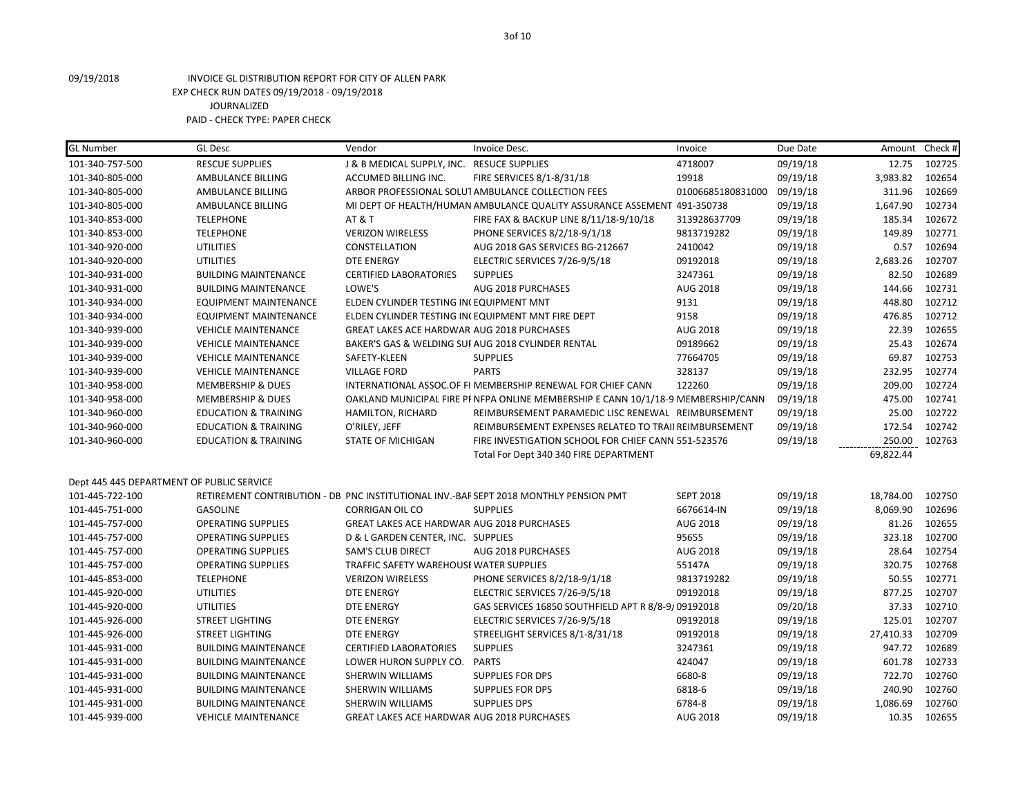| <b>GL Number</b>                          | <b>GL Desc</b>                  | Vendor                                         | Invoice Desc.                                                                         | Invoice           | Due Date | Amount    | Check # |
|-------------------------------------------|---------------------------------|------------------------------------------------|---------------------------------------------------------------------------------------|-------------------|----------|-----------|---------|
| 101-340-757-500                           | <b>RESCUE SUPPLIES</b>          | J & B MEDICAL SUPPLY, INC. RESUCE SUPPLIES     |                                                                                       | 4718007           | 09/19/18 | 12.75     | 102725  |
| 101-340-805-000                           | AMBULANCE BILLING               | ACCUMED BILLING INC.                           | FIRE SERVICES 8/1-8/31/18                                                             | 19918             | 09/19/18 | 3,983.82  | 102654  |
| 101-340-805-000                           | AMBULANCE BILLING               |                                                | ARBOR PROFESSIONAL SOLUT AMBULANCE COLLECTION FEES                                    | 01006685180831000 | 09/19/18 | 311.96    | 102669  |
| 101-340-805-000                           | AMBULANCE BILLING               |                                                | MI DEPT OF HEALTH/HUMAN AMBULANCE QUALITY ASSURANCE ASSEMENT 491-350738               |                   | 09/19/18 | 1,647.90  | 102734  |
| 101-340-853-000                           | <b>TELEPHONE</b>                | <b>AT &amp; T</b>                              | FIRE FAX & BACKUP LINE 8/11/18-9/10/18                                                | 313928637709      | 09/19/18 | 185.34    | 102672  |
| 101-340-853-000                           | <b>TELEPHONE</b>                | <b>VERIZON WIRELESS</b>                        | PHONE SERVICES 8/2/18-9/1/18                                                          | 9813719282        | 09/19/18 | 149.89    | 102771  |
| 101-340-920-000                           | <b>UTILITIES</b>                | CONSTELLATION                                  | AUG 2018 GAS SERVICES BG-212667                                                       | 2410042           | 09/19/18 | 0.57      | 102694  |
| 101-340-920-000                           | <b>UTILITIES</b>                | <b>DTE ENERGY</b>                              | ELECTRIC SERVICES 7/26-9/5/18                                                         | 09192018          | 09/19/18 | 2,683.26  | 102707  |
| 101-340-931-000                           | <b>BUILDING MAINTENANCE</b>     | <b>CERTIFIED LABORATORIES</b>                  | <b>SUPPLIES</b>                                                                       | 3247361           | 09/19/18 | 82.50     | 102689  |
| 101-340-931-000                           | <b>BUILDING MAINTENANCE</b>     | LOWE'S                                         | AUG 2018 PURCHASES                                                                    | AUG 2018          | 09/19/18 | 144.66    | 102731  |
| 101-340-934-000                           | <b>EQUIPMENT MAINTENANCE</b>    | ELDEN CYLINDER TESTING IN(EQUIPMENT MNT        |                                                                                       | 9131              | 09/19/18 | 448.80    | 102712  |
| 101-340-934-000                           | EQUIPMENT MAINTENANCE           |                                                | ELDEN CYLINDER TESTING IN EQUIPMENT MNT FIRE DEPT                                     | 9158              | 09/19/18 | 476.85    | 102712  |
| 101-340-939-000                           | <b>VEHICLE MAINTENANCE</b>      | GREAT LAKES ACE HARDWAR AUG 2018 PURCHASES     |                                                                                       | AUG 2018          | 09/19/18 | 22.39     | 102655  |
| 101-340-939-000                           | <b>VEHICLE MAINTENANCE</b>      |                                                | BAKER'S GAS & WELDING SUI AUG 2018 CYLINDER RENTAL                                    | 09189662          | 09/19/18 | 25.43     | 102674  |
| 101-340-939-000                           | <b>VEHICLE MAINTENANCE</b>      | SAFETY-KLEEN                                   | <b>SUPPLIES</b>                                                                       | 77664705          | 09/19/18 | 69.87     | 102753  |
| 101-340-939-000                           | <b>VEHICLE MAINTENANCE</b>      | <b>VILLAGE FORD</b>                            | <b>PARTS</b>                                                                          | 328137            | 09/19/18 | 232.95    | 102774  |
| 101-340-958-000                           | <b>MEMBERSHIP &amp; DUES</b>    |                                                | INTERNATIONAL ASSOC. OF FI MEMBERSHIP RENEWAL FOR CHIEF CANN                          | 122260            | 09/19/18 | 209.00    | 102724  |
| 101-340-958-000                           | <b>MEMBERSHIP &amp; DUES</b>    |                                                | OAKLAND MUNICIPAL FIRE PI NFPA ONLINE MEMBERSHIP E CANN 10/1/18-9 MEMBERSHIP/CANN     |                   | 09/19/18 | 475.00    | 102741  |
| 101-340-960-000                           | <b>EDUCATION &amp; TRAINING</b> | <b>HAMILTON, RICHARD</b>                       | REIMBURSEMENT PARAMEDIC LISC RENEWAL REIMBURSEMENT                                    |                   | 09/19/18 | 25.00     | 102722  |
| 101-340-960-000                           | <b>EDUCATION &amp; TRAINING</b> | O'RILEY, JEFF                                  | REIMBURSEMENT EXPENSES RELATED TO TRAII REIMBURSEMENT                                 |                   | 09/19/18 | 172.54    | 102742  |
|                                           |                                 |                                                |                                                                                       |                   |          |           |         |
| 101-340-960-000                           | <b>EDUCATION &amp; TRAINING</b> | <b>STATE OF MICHIGAN</b>                       | FIRE INVESTIGATION SCHOOL FOR CHIEF CANN 551-523576                                   |                   | 09/19/18 | 250.00    | 102763  |
|                                           |                                 |                                                | Total For Dept 340 340 FIRE DEPARTMENT                                                |                   |          | 69,822.44 |         |
|                                           |                                 |                                                |                                                                                       |                   |          |           |         |
| Dept 445 445 DEPARTMENT OF PUBLIC SERVICE |                                 |                                                |                                                                                       |                   |          |           |         |
| 101-445-722-100                           |                                 |                                                | RETIREMENT CONTRIBUTION - DB PNC INSTITUTIONAL INV.-BAF SEPT 2018 MONTHLY PENSION PMT | <b>SEPT 2018</b>  | 09/19/18 | 18,784.00 | 102750  |
| 101-445-751-000                           | <b>GASOLINE</b>                 | <b>CORRIGAN OIL CO</b>                         | <b>SUPPLIES</b>                                                                       | 6676614-IN        | 09/19/18 | 8,069.90  | 102696  |
| 101-445-757-000                           | <b>OPERATING SUPPLIES</b>       | GREAT LAKES ACE HARDWAR AUG 2018 PURCHASES     |                                                                                       | AUG 2018          | 09/19/18 | 81.26     | 102655  |
| 101-445-757-000                           | <b>OPERATING SUPPLIES</b>       | D & L GARDEN CENTER, INC. SUPPLIES             |                                                                                       | 95655             | 09/19/18 | 323.18    | 102700  |
| 101-445-757-000                           | <b>OPERATING SUPPLIES</b>       | <b>SAM'S CLUB DIRECT</b>                       | <b>AUG 2018 PURCHASES</b>                                                             | AUG 2018          | 09/19/18 | 28.64     | 102754  |
| 101-445-757-000                           | <b>OPERATING SUPPLIES</b>       | <b>TRAFFIC SAFETY WAREHOUSE WATER SUPPLIES</b> |                                                                                       | 55147A            | 09/19/18 | 320.75    | 102768  |
| 101-445-853-000                           | <b>TELEPHONE</b>                | <b>VERIZON WIRELESS</b>                        | PHONE SERVICES 8/2/18-9/1/18                                                          | 9813719282        | 09/19/18 | 50.55     | 102771  |
| 101-445-920-000                           | <b>UTILITIES</b>                | <b>DTE ENERGY</b>                              | ELECTRIC SERVICES 7/26-9/5/18                                                         | 09192018          | 09/19/18 | 877.25    | 102707  |
| 101-445-920-000                           | <b>UTILITIES</b>                | <b>DTE ENERGY</b>                              | GAS SERVICES 16850 SOUTHFIELD APT R 8/8-9/09192018                                    |                   | 09/20/18 | 37.33     | 102710  |
| 101-445-926-000                           | <b>STREET LIGHTING</b>          | <b>DTE ENERGY</b>                              | ELECTRIC SERVICES 7/26-9/5/18                                                         | 09192018          | 09/19/18 | 125.01    | 102707  |
| 101-445-926-000                           | <b>STREET LIGHTING</b>          | <b>DTE ENERGY</b>                              | STREELIGHT SERVICES 8/1-8/31/18                                                       | 09192018          | 09/19/18 | 27,410.33 | 102709  |
| 101-445-931-000                           | <b>BUILDING MAINTENANCE</b>     | <b>CERTIFIED LABORATORIES</b>                  | <b>SUPPLIES</b>                                                                       | 3247361           | 09/19/18 | 947.72    | 102689  |
| 101-445-931-000                           | <b>BUILDING MAINTENANCE</b>     | LOWER HURON SUPPLY CO.                         | <b>PARTS</b>                                                                          | 424047            | 09/19/18 | 601.78    | 102733  |
| 101-445-931-000                           | <b>BUILDING MAINTENANCE</b>     | SHERWIN WILLIAMS                               | <b>SUPPLIES FOR DPS</b>                                                               | 6680-8            | 09/19/18 | 722.70    | 102760  |
| 101-445-931-000                           | <b>BUILDING MAINTENANCE</b>     | SHERWIN WILLIAMS                               | <b>SUPPLIES FOR DPS</b>                                                               | 6818-6            | 09/19/18 | 240.90    | 102760  |
| 101-445-931-000                           | <b>BUILDING MAINTENANCE</b>     | SHERWIN WILLIAMS                               | <b>SUPPLIES DPS</b>                                                                   | 6784-8            | 09/19/18 | 1,086.69  | 102760  |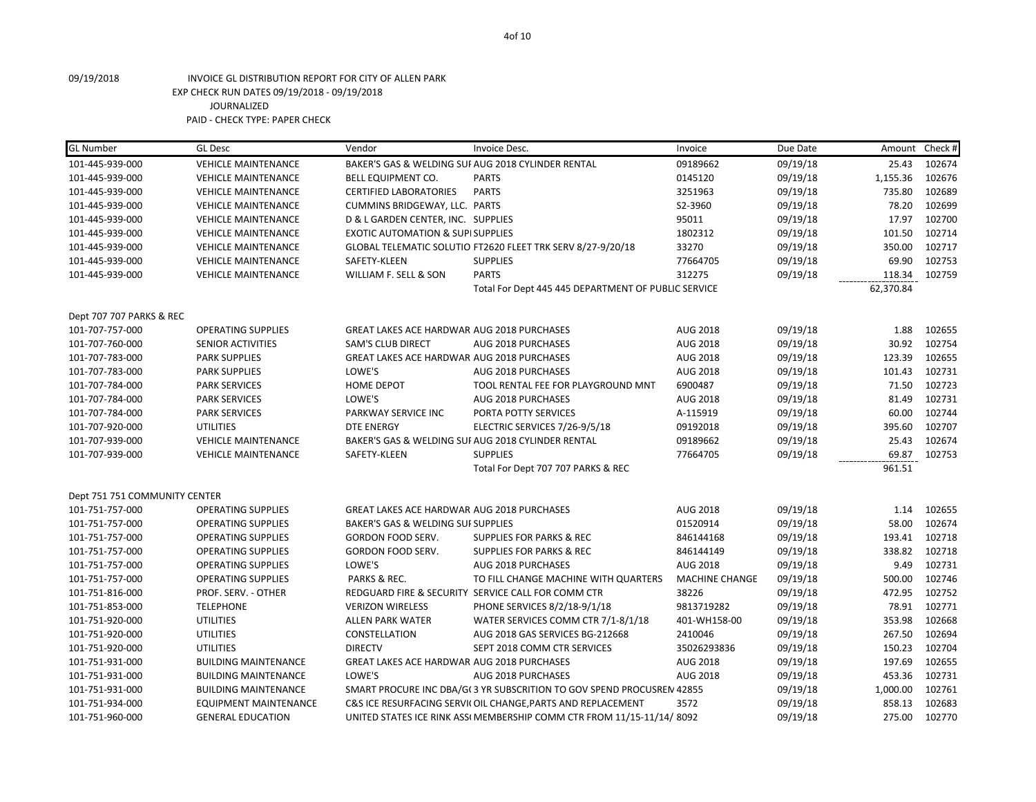| <b>GL Number</b>              | <b>GL Desc</b>               | Vendor                                            | Invoice Desc.                                                         | Invoice               | Due Date | Amount    | Check # |
|-------------------------------|------------------------------|---------------------------------------------------|-----------------------------------------------------------------------|-----------------------|----------|-----------|---------|
| 101-445-939-000               | <b>VEHICLE MAINTENANCE</b>   |                                                   | BAKER'S GAS & WELDING SUI AUG 2018 CYLINDER RENTAL                    | 09189662              | 09/19/18 | 25.43     | 102674  |
| 101-445-939-000               | <b>VEHICLE MAINTENANCE</b>   | BELL EQUIPMENT CO.                                | <b>PARTS</b>                                                          | 0145120               | 09/19/18 | 1,155.36  | 102676  |
| 101-445-939-000               | <b>VEHICLE MAINTENANCE</b>   | <b>CERTIFIED LABORATORIES</b>                     | <b>PARTS</b>                                                          | 3251963               | 09/19/18 | 735.80    | 102689  |
| 101-445-939-000               | <b>VEHICLE MAINTENANCE</b>   | CUMMINS BRIDGEWAY, LLC. PARTS                     |                                                                       | S2-3960               | 09/19/18 | 78.20     | 102699  |
| 101-445-939-000               | <b>VEHICLE MAINTENANCE</b>   | D & L GARDEN CENTER, INC. SUPPLIES                |                                                                       | 95011                 | 09/19/18 | 17.97     | 102700  |
| 101-445-939-000               | <b>VEHICLE MAINTENANCE</b>   | <b>EXOTIC AUTOMATION &amp; SUPI SUPPLIES</b>      |                                                                       | 1802312               | 09/19/18 | 101.50    | 102714  |
| 101-445-939-000               | <b>VEHICLE MAINTENANCE</b>   |                                                   | GLOBAL TELEMATIC SOLUTIO FT2620 FLEET TRK SERV 8/27-9/20/18           | 33270                 | 09/19/18 | 350.00    | 102717  |
| 101-445-939-000               | <b>VEHICLE MAINTENANCE</b>   | SAFETY-KLEEN                                      | <b>SUPPLIES</b>                                                       | 77664705              | 09/19/18 | 69.90     | 102753  |
| 101-445-939-000               | <b>VEHICLE MAINTENANCE</b>   | WILLIAM F. SELL & SON                             | <b>PARTS</b>                                                          | 312275                | 09/19/18 | 118.34    | 102759  |
|                               |                              |                                                   | Total For Dept 445 445 DEPARTMENT OF PUBLIC SERVICE                   |                       |          | 62,370.84 |         |
| Dept 707 707 PARKS & REC      |                              |                                                   |                                                                       |                       |          |           |         |
| 101-707-757-000               | <b>OPERATING SUPPLIES</b>    | GREAT LAKES ACE HARDWAR AUG 2018 PURCHASES        |                                                                       | AUG 2018              | 09/19/18 | 1.88      | 102655  |
| 101-707-760-000               | <b>SENIOR ACTIVITIES</b>     | <b>SAM'S CLUB DIRECT</b>                          | AUG 2018 PURCHASES                                                    | AUG 2018              | 09/19/18 | 30.92     | 102754  |
| 101-707-783-000               | <b>PARK SUPPLIES</b>         | GREAT LAKES ACE HARDWAR AUG 2018 PURCHASES        |                                                                       | AUG 2018              | 09/19/18 | 123.39    | 102655  |
| 101-707-783-000               | PARK SUPPLIES                | LOWE'S                                            | AUG 2018 PURCHASES                                                    | AUG 2018              | 09/19/18 | 101.43    | 102731  |
| 101-707-784-000               | <b>PARK SERVICES</b>         | HOME DEPOT                                        | TOOL RENTAL FEE FOR PLAYGROUND MNT                                    | 6900487               | 09/19/18 | 71.50     | 102723  |
| 101-707-784-000               | PARK SERVICES                | LOWE'S                                            | AUG 2018 PURCHASES                                                    | AUG 2018              | 09/19/18 | 81.49     | 102731  |
| 101-707-784-000               | <b>PARK SERVICES</b>         | PARKWAY SERVICE INC                               | PORTA POTTY SERVICES                                                  | A-115919              | 09/19/18 | 60.00     | 102744  |
| 101-707-920-000               | <b>UTILITIES</b>             | <b>DTE ENERGY</b>                                 | ELECTRIC SERVICES 7/26-9/5/18                                         | 09192018              | 09/19/18 | 395.60    | 102707  |
| 101-707-939-000               | <b>VEHICLE MAINTENANCE</b>   |                                                   | BAKER'S GAS & WELDING SUI AUG 2018 CYLINDER RENTAL                    | 09189662              | 09/19/18 | 25.43     | 102674  |
| 101-707-939-000               | <b>VEHICLE MAINTENANCE</b>   | SAFETY-KLEEN                                      | <b>SUPPLIES</b>                                                       | 77664705              | 09/19/18 | 69.87     | 102753  |
|                               |                              |                                                   | Total For Dept 707 707 PARKS & REC                                    |                       |          | 961.51    |         |
| Dept 751 751 COMMUNITY CENTER |                              |                                                   |                                                                       |                       |          |           |         |
| 101-751-757-000               | <b>OPERATING SUPPLIES</b>    | <b>GREAT LAKES ACE HARDWAR AUG 2018 PURCHASES</b> |                                                                       | AUG 2018              | 09/19/18 | 1.14      | 102655  |
| 101-751-757-000               | <b>OPERATING SUPPLIES</b>    | BAKER'S GAS & WELDING SUI SUPPLIES                |                                                                       | 01520914              | 09/19/18 | 58.00     | 102674  |
| 101-751-757-000               | <b>OPERATING SUPPLIES</b>    | <b>GORDON FOOD SERV.</b>                          | <b>SUPPLIES FOR PARKS &amp; REC</b>                                   | 846144168             | 09/19/18 | 193.41    | 102718  |
| 101-751-757-000               | <b>OPERATING SUPPLIES</b>    | GORDON FOOD SERV.                                 | <b>SUPPLIES FOR PARKS &amp; REC</b>                                   | 846144149             | 09/19/18 | 338.82    | 102718  |
| 101-751-757-000               | <b>OPERATING SUPPLIES</b>    | LOWE'S                                            | AUG 2018 PURCHASES                                                    | AUG 2018              | 09/19/18 | 9.49      | 102731  |
| 101-751-757-000               | <b>OPERATING SUPPLIES</b>    | PARKS & REC.                                      | TO FILL CHANGE MACHINE WITH QUARTERS                                  | <b>MACHINE CHANGE</b> | 09/19/18 | 500.00    | 102746  |
| 101-751-816-000               | PROF. SERV. - OTHER          |                                                   | REDGUARD FIRE & SECURITY SERVICE CALL FOR COMM CTR                    | 38226                 | 09/19/18 | 472.95    | 102752  |
| 101-751-853-000               | <b>TELEPHONE</b>             | <b>VERIZON WIRELESS</b>                           | PHONE SERVICES 8/2/18-9/1/18                                          | 9813719282            | 09/19/18 | 78.91     | 102771  |
| 101-751-920-000               | UTILITIES                    | <b>ALLEN PARK WATER</b>                           | WATER SERVICES COMM CTR 7/1-8/1/18                                    | 401-WH158-00          | 09/19/18 | 353.98    | 102668  |
| 101-751-920-000               | UTILITIES                    | CONSTELLATION                                     | AUG 2018 GAS SERVICES BG-212668                                       | 2410046               | 09/19/18 | 267.50    | 102694  |
| 101-751-920-000               | UTILITIES                    | <b>DIRECTV</b>                                    | SEPT 2018 COMM CTR SERVICES                                           | 35026293836           | 09/19/18 | 150.23    | 102704  |
| 101-751-931-000               | <b>BUILDING MAINTENANCE</b>  | <b>GREAT LAKES ACE HARDWAR AUG 2018 PURCHASES</b> |                                                                       | AUG 2018              | 09/19/18 | 197.69    | 102655  |
| 101-751-931-000               | <b>BUILDING MAINTENANCE</b>  | LOWE'S                                            | AUG 2018 PURCHASES                                                    | AUG 2018              | 09/19/18 | 453.36    | 102731  |
| 101-751-931-000               | <b>BUILDING MAINTENANCE</b>  |                                                   | SMART PROCURE INC DBA/G(3 YR SUBSCRITION TO GOV SPEND PROCUSREN 42855 |                       | 09/19/18 | 1,000.00  | 102761  |
| 101-751-934-000               | <b>EQUIPMENT MAINTENANCE</b> |                                                   | C&S ICE RESURFACING SERVII OIL CHANGE, PARTS AND REPLACEMENT          | 3572                  | 09/19/18 | 858.13    | 102683  |
| 101-751-960-000               | <b>GENERAL EDUCATION</b>     |                                                   | UNITED STATES ICE RINK ASS(MEMBERSHIP COMM CTR FROM 11/15-11/14/ 8092 |                       | 09/19/18 | 275.00    | 102770  |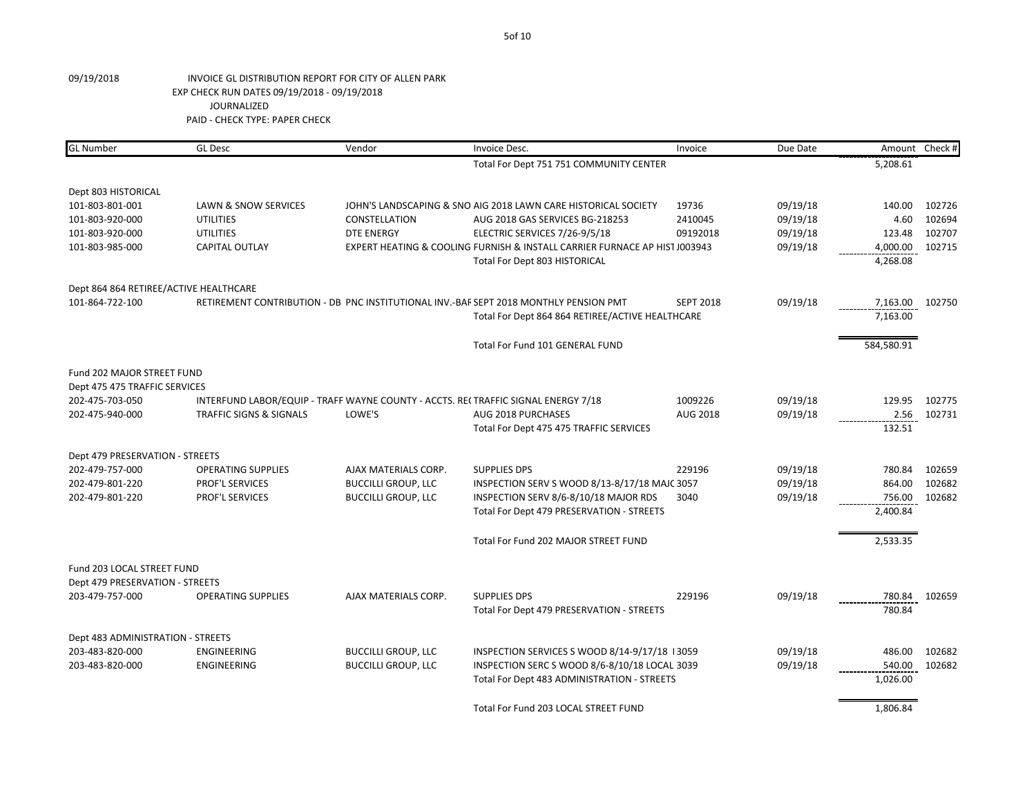| <b>GL Number</b>                       | <b>GL Desc</b>                     | Vendor                     | Invoice Desc.                                                                         | Invoice          | Due Date |            | Amount Check # |
|----------------------------------------|------------------------------------|----------------------------|---------------------------------------------------------------------------------------|------------------|----------|------------|----------------|
|                                        |                                    |                            | Total For Dept 751 751 COMMUNITY CENTER                                               |                  |          | 5,208.61   |                |
| Dept 803 HISTORICAL                    |                                    |                            |                                                                                       |                  |          |            |                |
| 101-803-801-001                        | LAWN & SNOW SERVICES               |                            | JOHN'S LANDSCAPING & SNO AIG 2018 LAWN CARE HISTORICAL SOCIETY                        | 19736            | 09/19/18 | 140.00     | 102726         |
| 101-803-920-000                        | <b>UTILITIES</b>                   | <b>CONSTELLATION</b>       | AUG 2018 GAS SERVICES BG-218253                                                       | 2410045          | 09/19/18 | 4.60       | 102694         |
| 101-803-920-000                        | <b>UTILITIES</b>                   | <b>DTE ENERGY</b>          | ELECTRIC SERVICES 7/26-9/5/18                                                         | 09192018         | 09/19/18 | 123.48     | 102707         |
| 101-803-985-000                        | <b>CAPITAL OUTLAY</b>              |                            | EXPERT HEATING & COOLING FURNISH & INSTALL CARRIER FURNACE AP HIST J003943            |                  | 09/19/18 | 4,000.00   | 102715         |
|                                        |                                    |                            | Total For Dept 803 HISTORICAL                                                         |                  |          | 4,268.08   |                |
| Dept 864 864 RETIREE/ACTIVE HEALTHCARE |                                    |                            |                                                                                       |                  |          |            |                |
| 101-864-722-100                        |                                    |                            | RETIREMENT CONTRIBUTION - DB PNC INSTITUTIONAL INV.-BAF SEPT 2018 MONTHLY PENSION PMT | <b>SEPT 2018</b> | 09/19/18 | 7,163.00   | 102750         |
|                                        |                                    |                            | Total For Dept 864 864 RETIREE/ACTIVE HEALTHCARE                                      |                  |          | 7,163.00   |                |
|                                        |                                    |                            | Total For Fund 101 GENERAL FUND                                                       |                  |          | 584,580.91 |                |
| Fund 202 MAJOR STREET FUND             |                                    |                            |                                                                                       |                  |          |            |                |
| Dept 475 475 TRAFFIC SERVICES          |                                    |                            |                                                                                       |                  |          |            |                |
| 202-475-703-050                        |                                    |                            | INTERFUND LABOR/EQUIP - TRAFF WAYNE COUNTY - ACCTS. REI TRAFFIC SIGNAL ENERGY 7/18    | 1009226          | 09/19/18 | 129.95     | 102775         |
| 202-475-940-000                        | <b>TRAFFIC SIGNS &amp; SIGNALS</b> | LOWE'S                     | AUG 2018 PURCHASES                                                                    | AUG 2018         | 09/19/18 | 2.56       | 102731         |
|                                        |                                    |                            | Total For Dept 475 475 TRAFFIC SERVICES                                               |                  |          | 132.51     |                |
| Dept 479 PRESERVATION - STREETS        |                                    |                            |                                                                                       |                  |          |            |                |
| 202-479-757-000                        | <b>OPERATING SUPPLIES</b>          | AJAX MATERIALS CORP.       | <b>SUPPLIES DPS</b>                                                                   | 229196           | 09/19/18 | 780.84     | 102659         |
| 202-479-801-220                        | PROF'L SERVICES                    | <b>BUCCILLI GROUP, LLC</b> | INSPECTION SERV S WOOD 8/13-8/17/18 MAJC 3057                                         |                  | 09/19/18 | 864.00     | 102682         |
| 202-479-801-220                        | PROF'L SERVICES                    | <b>BUCCILLI GROUP, LLC</b> | INSPECTION SERV 8/6-8/10/18 MAJOR RDS                                                 | 3040             | 09/19/18 | 756.00     | 102682         |
|                                        |                                    |                            | Total For Dept 479 PRESERVATION - STREETS                                             |                  |          | 2,400.84   |                |
|                                        |                                    |                            | Total For Fund 202 MAJOR STREET FUND                                                  |                  |          | 2,533.35   |                |
| Fund 203 LOCAL STREET FUND             |                                    |                            |                                                                                       |                  |          |            |                |
| Dept 479 PRESERVATION - STREETS        |                                    |                            |                                                                                       |                  |          |            |                |
| 203-479-757-000                        | <b>OPERATING SUPPLIES</b>          | AJAX MATERIALS CORP.       | <b>SUPPLIES DPS</b>                                                                   | 229196           | 09/19/18 | 780.84     | 102659         |
|                                        |                                    |                            | Total For Dept 479 PRESERVATION - STREETS                                             |                  |          | 780.84     |                |
| Dept 483 ADMINISTRATION - STREETS      |                                    |                            |                                                                                       |                  |          |            |                |
| 203-483-820-000                        | ENGINEERING                        | <b>BUCCILLI GROUP, LLC</b> | INSPECTION SERVICES S WOOD 8/14-9/17/18 13059                                         |                  | 09/19/18 | 486.00     | 102682         |
| 203-483-820-000                        | ENGINEERING                        | <b>BUCCILLI GROUP, LLC</b> | INSPECTION SERC S WOOD 8/6-8/10/18 LOCAL 3039                                         |                  | 09/19/18 | 540.00     | 102682         |
|                                        |                                    |                            | Total For Dept 483 ADMINISTRATION - STREETS                                           |                  |          | 1,026.00   |                |
|                                        |                                    |                            | Total For Fund 203 LOCAL STREET FUND                                                  |                  |          | 1,806.84   |                |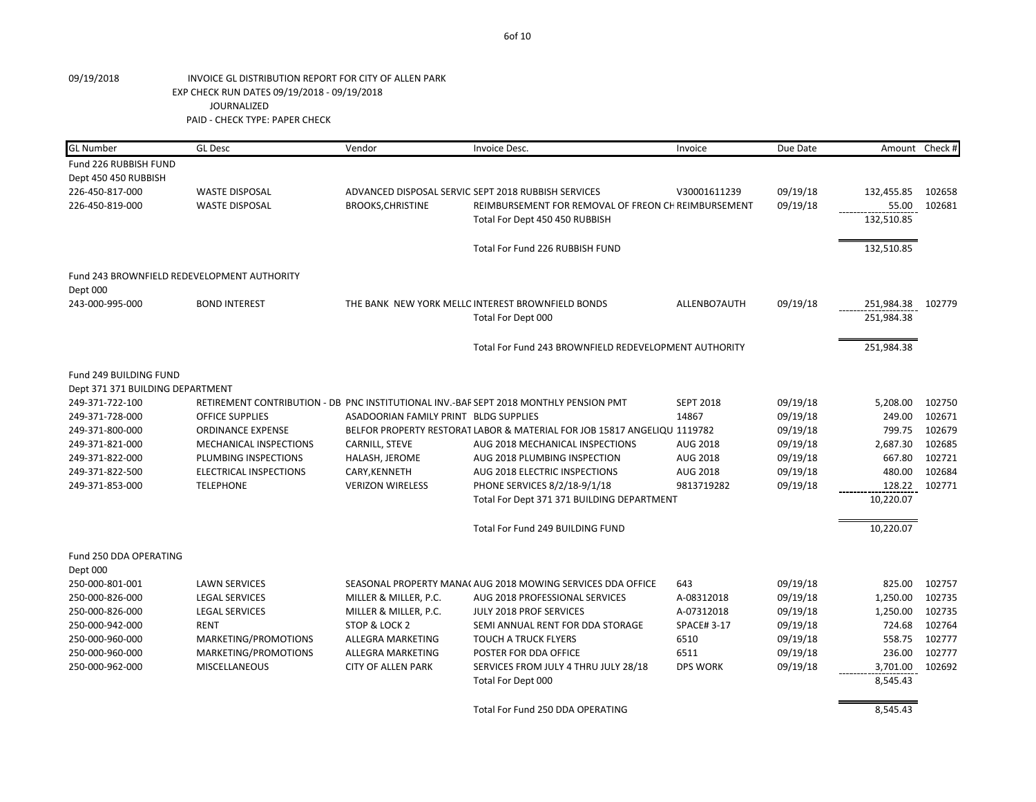| <b>GL Number</b>                            | <b>GL Desc</b>                | Vendor                                | Invoice Desc.                                                                         | Invoice           | Due Date |            | Amount Check # |
|---------------------------------------------|-------------------------------|---------------------------------------|---------------------------------------------------------------------------------------|-------------------|----------|------------|----------------|
| Fund 226 RUBBISH FUND                       |                               |                                       |                                                                                       |                   |          |            |                |
| Dept 450 450 RUBBISH                        |                               |                                       |                                                                                       |                   |          |            |                |
| 226-450-817-000                             | <b>WASTE DISPOSAL</b>         |                                       | ADVANCED DISPOSAL SERVIC SEPT 2018 RUBBISH SERVICES                                   | V30001611239      | 09/19/18 | 132,455.85 | 102658         |
| 226-450-819-000                             | <b>WASTE DISPOSAL</b>         | <b>BROOKS, CHRISTINE</b>              | REIMBURSEMENT FOR REMOVAL OF FREON CH REIMBURSEMENT                                   |                   | 09/19/18 | 55.00      | 102681         |
|                                             |                               |                                       | Total For Dept 450 450 RUBBISH                                                        |                   |          | 132,510.85 |                |
|                                             |                               |                                       |                                                                                       |                   |          |            |                |
|                                             |                               |                                       | Total For Fund 226 RUBBISH FUND                                                       |                   |          | 132,510.85 |                |
| Fund 243 BROWNFIELD REDEVELOPMENT AUTHORITY |                               |                                       |                                                                                       |                   |          |            |                |
| Dept 000                                    |                               |                                       |                                                                                       |                   |          |            |                |
| 243-000-995-000                             | <b>BOND INTEREST</b>          |                                       | THE BANK NEW YORK MELLC INTEREST BROWNFIELD BONDS                                     | ALLENBO7AUTH      | 09/19/18 | 251,984.38 | 102779         |
|                                             |                               |                                       | Total For Dept 000                                                                    |                   |          | 251,984.38 |                |
|                                             |                               |                                       | Total For Fund 243 BROWNFIELD REDEVELOPMENT AUTHORITY                                 |                   |          | 251,984.38 |                |
|                                             |                               |                                       |                                                                                       |                   |          |            |                |
| Fund 249 BUILDING FUND                      |                               |                                       |                                                                                       |                   |          |            |                |
| Dept 371 371 BUILDING DEPARTMENT            |                               |                                       |                                                                                       |                   |          |            |                |
| 249-371-722-100                             |                               |                                       | RETIREMENT CONTRIBUTION - DB PNC INSTITUTIONAL INV.-BAF SEPT 2018 MONTHLY PENSION PMT | <b>SEPT 2018</b>  | 09/19/18 | 5,208.00   | 102750         |
| 249-371-728-000                             | <b>OFFICE SUPPLIES</b>        | ASADOORIAN FAMILY PRINT BLDG SUPPLIES |                                                                                       | 14867             | 09/19/18 | 249.00     | 102671         |
| 249-371-800-000                             | <b>ORDINANCE EXPENSE</b>      |                                       | BELFOR PROPERTY RESTORAT LABOR & MATERIAL FOR JOB 15817 ANGELIQU 1119782              |                   | 09/19/18 | 799.75     | 102679         |
| 249-371-821-000                             | MECHANICAL INSPECTIONS        | CARNILL, STEVE                        | AUG 2018 MECHANICAL INSPECTIONS                                                       | AUG 2018          | 09/19/18 | 2,687.30   | 102685         |
| 249-371-822-000                             | PLUMBING INSPECTIONS          | HALASH, JEROME                        | AUG 2018 PLUMBING INSPECTION                                                          | AUG 2018          | 09/19/18 | 667.80     | 102721         |
| 249-371-822-500                             | <b>ELECTRICAL INSPECTIONS</b> | CARY, KENNETH                         | AUG 2018 ELECTRIC INSPECTIONS                                                         | AUG 2018          | 09/19/18 | 480.00     | 102684         |
| 249-371-853-000                             | <b>TELEPHONE</b>              | <b>VERIZON WIRELESS</b>               | PHONE SERVICES 8/2/18-9/1/18                                                          | 9813719282        | 09/19/18 | 128.22     | 102771         |
|                                             |                               |                                       | Total For Dept 371 371 BUILDING DEPARTMENT                                            |                   |          | 10,220.07  |                |
|                                             |                               |                                       | Total For Fund 249 BUILDING FUND                                                      |                   |          | 10,220.07  |                |
| Fund 250 DDA OPERATING                      |                               |                                       |                                                                                       |                   |          |            |                |
| Dept 000                                    |                               |                                       |                                                                                       |                   |          |            |                |
| 250-000-801-001                             | <b>LAWN SERVICES</b>          |                                       | SEASONAL PROPERTY MANA(AUG 2018 MOWING SERVICES DDA OFFICE                            | 643               | 09/19/18 | 825.00     | 102757         |
| 250-000-826-000                             | <b>LEGAL SERVICES</b>         | MILLER & MILLER, P.C.                 | AUG 2018 PROFESSIONAL SERVICES                                                        | A-08312018        | 09/19/18 | 1,250.00   | 102735         |
| 250-000-826-000                             | <b>LEGAL SERVICES</b>         | MILLER & MILLER, P.C.                 | JULY 2018 PROF SERVICES                                                               | A-07312018        | 09/19/18 | 1,250.00   | 102735         |
| 250-000-942-000                             | <b>RENT</b>                   | STOP & LOCK 2                         | SEMI ANNUAL RENT FOR DDA STORAGE                                                      | <b>SPACE#3-17</b> | 09/19/18 | 724.68     | 102764         |
| 250-000-960-000                             | MARKETING/PROMOTIONS          | ALLEGRA MARKETING                     | <b>TOUCH A TRUCK FLYERS</b>                                                           | 6510              | 09/19/18 | 558.75     | 102777         |
| 250-000-960-000                             | MARKETING/PROMOTIONS          | ALLEGRA MARKETING                     | POSTER FOR DDA OFFICE                                                                 | 6511              | 09/19/18 | 236.00     | 102777         |
| 250-000-962-000                             | <b>MISCELLANEOUS</b>          | <b>CITY OF ALLEN PARK</b>             | SERVICES FROM JULY 4 THRU JULY 28/18                                                  | <b>DPS WORK</b>   | 09/19/18 | 3,701.00   | 102692         |
|                                             |                               |                                       | Total For Dept 000                                                                    |                   |          | 8,545.43   |                |
|                                             |                               |                                       |                                                                                       |                   |          |            |                |
|                                             |                               |                                       | Total For Fund 250 DDA OPERATING                                                      |                   |          | 8,545.43   |                |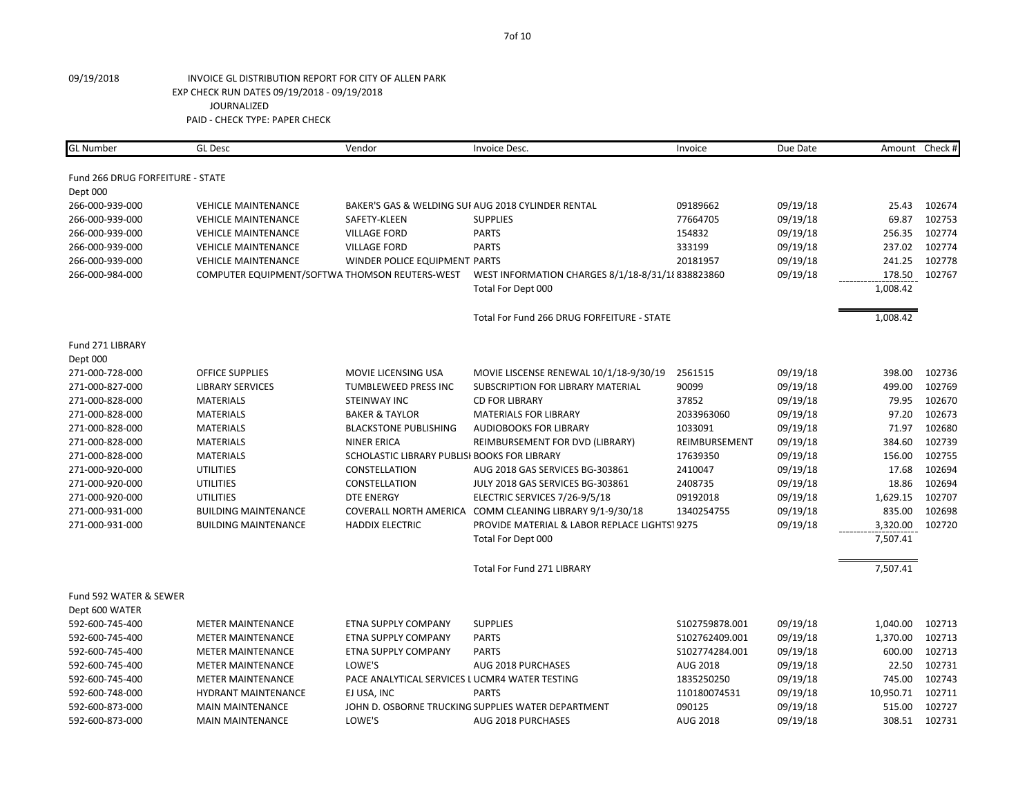| <b>GL Number</b>                 | <b>GL Desc</b>                                 | Vendor                                        | Invoice Desc.                                            | Invoice        | Due Date |           | Amount Check # |
|----------------------------------|------------------------------------------------|-----------------------------------------------|----------------------------------------------------------|----------------|----------|-----------|----------------|
|                                  |                                                |                                               |                                                          |                |          |           |                |
| Fund 266 DRUG FORFEITURE - STATE |                                                |                                               |                                                          |                |          |           |                |
| Dept 000                         |                                                |                                               |                                                          |                |          |           |                |
| 266-000-939-000                  | <b>VEHICLE MAINTENANCE</b>                     |                                               | BAKER'S GAS & WELDING SUI AUG 2018 CYLINDER RENTAL       | 09189662       | 09/19/18 | 25.43     | 102674         |
| 266-000-939-000                  | <b>VEHICLE MAINTENANCE</b>                     | SAFETY-KLEEN                                  | <b>SUPPLIES</b>                                          | 77664705       | 09/19/18 | 69.87     | 102753         |
| 266-000-939-000                  | <b>VEHICLE MAINTENANCE</b>                     | <b>VILLAGE FORD</b>                           | <b>PARTS</b>                                             | 154832         | 09/19/18 | 256.35    | 102774         |
| 266-000-939-000                  | <b>VEHICLE MAINTENANCE</b>                     | <b>VILLAGE FORD</b>                           | <b>PARTS</b>                                             | 333199         | 09/19/18 | 237.02    | 102774         |
| 266-000-939-000                  | <b>VEHICLE MAINTENANCE</b>                     | WINDER POLICE EQUIPMENT PARTS                 |                                                          | 20181957       | 09/19/18 | 241.25    | 102778         |
| 266-000-984-000                  | COMPUTER EQUIPMENT/SOFTWA THOMSON REUTERS-WEST |                                               | WEST INFORMATION CHARGES 8/1/18-8/31/18 838823860        |                | 09/19/18 | 178.50    | 102767         |
|                                  |                                                |                                               | Total For Dept 000                                       |                |          | 1,008.42  |                |
|                                  |                                                |                                               | Total For Fund 266 DRUG FORFEITURE - STATE               |                |          | 1,008.42  |                |
| Fund 271 LIBRARY                 |                                                |                                               |                                                          |                |          |           |                |
| Dept 000                         |                                                |                                               |                                                          |                |          |           |                |
| 271-000-728-000                  | <b>OFFICE SUPPLIES</b>                         | MOVIE LICENSING USA                           | MOVIE LISCENSE RENEWAL 10/1/18-9/30/19                   | 2561515        | 09/19/18 | 398.00    | 102736         |
| 271-000-827-000                  | <b>LIBRARY SERVICES</b>                        | TUMBLEWEED PRESS INC                          | SUBSCRIPTION FOR LIBRARY MATERIAL                        | 90099          | 09/19/18 | 499.00    | 102769         |
| 271-000-828-000                  | <b>MATERIALS</b>                               | STEINWAY INC                                  | <b>CD FOR LIBRARY</b>                                    | 37852          | 09/19/18 | 79.95     | 102670         |
| 271-000-828-000                  | <b>MATERIALS</b>                               | <b>BAKER &amp; TAYLOR</b>                     | <b>MATERIALS FOR LIBRARY</b>                             | 2033963060     | 09/19/18 | 97.20     | 102673         |
| 271-000-828-000                  | <b>MATERIALS</b>                               | <b>BLACKSTONE PUBLISHING</b>                  | <b>AUDIOBOOKS FOR LIBRARY</b>                            | 1033091        | 09/19/18 | 71.97     | 102680         |
| 271-000-828-000                  | <b>MATERIALS</b>                               | <b>NINER ERICA</b>                            | REIMBURSEMENT FOR DVD (LIBRARY)                          | REIMBURSEMENT  | 09/19/18 | 384.60    | 102739         |
| 271-000-828-000                  | <b>MATERIALS</b>                               | SCHOLASTIC LIBRARY PUBLISI BOOKS FOR LIBRARY  |                                                          | 17639350       | 09/19/18 | 156.00    | 102755         |
| 271-000-920-000                  | <b>UTILITIES</b>                               | CONSTELLATION                                 | AUG 2018 GAS SERVICES BG-303861                          | 2410047        | 09/19/18 | 17.68     | 102694         |
| 271-000-920-000                  | <b>UTILITIES</b>                               | CONSTELLATION                                 | JULY 2018 GAS SERVICES BG-303861                         | 2408735        | 09/19/18 | 18.86     | 102694         |
| 271-000-920-000                  | <b>UTILITIES</b>                               | <b>DTE ENERGY</b>                             | ELECTRIC SERVICES 7/26-9/5/18                            | 09192018       | 09/19/18 | 1,629.15  | 102707         |
| 271-000-931-000                  | <b>BUILDING MAINTENANCE</b>                    |                                               | COVERALL NORTH AMERICA COMM CLEANING LIBRARY 9/1-9/30/18 | 1340254755     | 09/19/18 | 835.00    | 102698         |
| 271-000-931-000                  | <b>BUILDING MAINTENANCE</b>                    | <b>HADDIX ELECTRIC</b>                        | PROVIDE MATERIAL & LABOR REPLACE LIGHTS19275             |                | 09/19/18 | 3,320.00  | 102720         |
|                                  |                                                |                                               | Total For Dept 000                                       |                |          | 7,507.41  |                |
|                                  |                                                |                                               | <b>Total For Fund 271 LIBRARY</b>                        |                |          | 7,507.41  |                |
| Fund 592 WATER & SEWER           |                                                |                                               |                                                          |                |          |           |                |
| Dept 600 WATER                   |                                                |                                               |                                                          |                |          |           |                |
| 592-600-745-400                  | <b>METER MAINTENANCE</b>                       | ETNA SUPPLY COMPANY                           | <b>SUPPLIES</b>                                          | S102759878.001 | 09/19/18 | 1,040.00  | 102713         |
| 592-600-745-400                  | <b>METER MAINTENANCE</b>                       | <b>ETNA SUPPLY COMPANY</b>                    | <b>PARTS</b>                                             | S102762409.001 | 09/19/18 | 1,370.00  | 102713         |
| 592-600-745-400                  | <b>METER MAINTENANCE</b>                       | ETNA SUPPLY COMPANY                           | <b>PARTS</b>                                             | S102774284.001 | 09/19/18 | 600.00    | 102713         |
| 592-600-745-400                  | <b>METER MAINTENANCE</b>                       | LOWE'S                                        | AUG 2018 PURCHASES                                       | AUG 2018       | 09/19/18 | 22.50     | 102731         |
| 592-600-745-400                  | <b>METER MAINTENANCE</b>                       | PACE ANALYTICAL SERVICES LUCMR4 WATER TESTING |                                                          | 1835250250     | 09/19/18 | 745.00    | 102743         |
| 592-600-748-000                  | <b>HYDRANT MAINTENANCE</b>                     | EJ USA, INC                                   | <b>PARTS</b>                                             | 110180074531   | 09/19/18 | 10,950.71 | 102711         |
| 592-600-873-000                  | <b>MAIN MAINTENANCE</b>                        |                                               | JOHN D. OSBORNE TRUCKING SUPPLIES WATER DEPARTMENT       | 090125         | 09/19/18 | 515.00    | 102727         |
| 592-600-873-000                  | <b>MAIN MAINTENANCE</b>                        | LOWE'S                                        | AUG 2018 PURCHASES                                       | AUG 2018       | 09/19/18 | 308.51    | 102731         |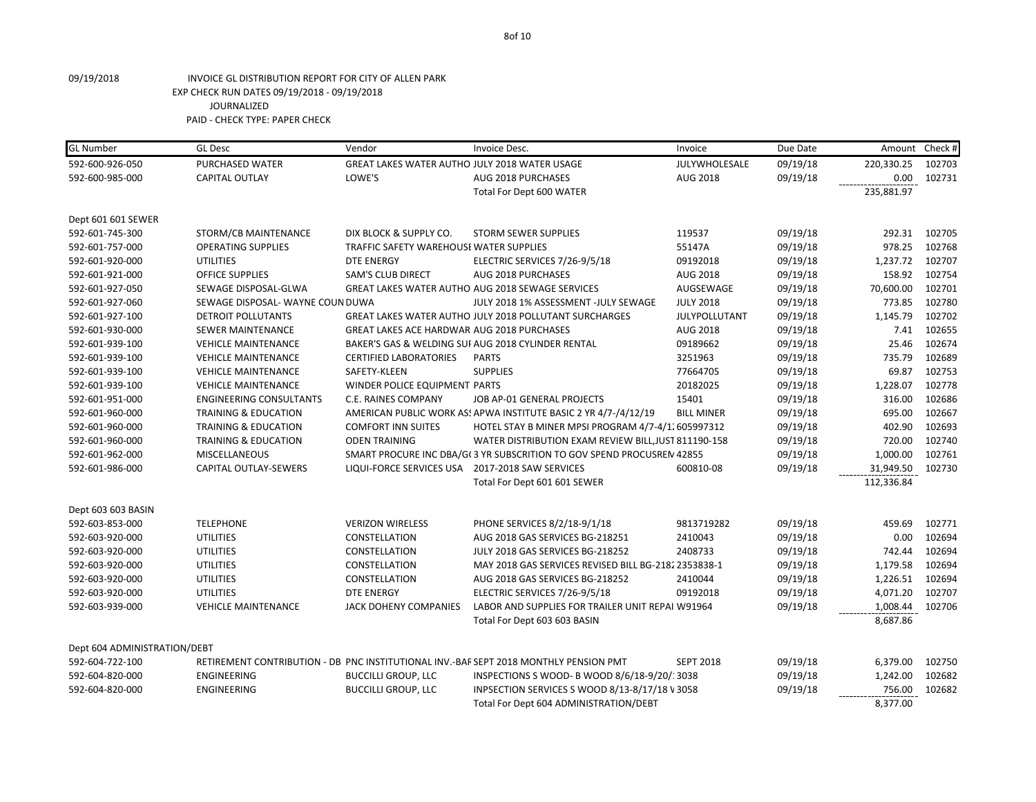| <b>GL Number</b>             | <b>GL Desc</b>                   | Vendor                                          | Invoice Desc.                                                                         | Invoice           | Due Date | Amount                                                                                                         | Check # |
|------------------------------|----------------------------------|-------------------------------------------------|---------------------------------------------------------------------------------------|-------------------|----------|----------------------------------------------------------------------------------------------------------------|---------|
| 592-600-926-050              | PURCHASED WATER                  | GREAT LAKES WATER AUTHO JULY 2018 WATER USAGE   |                                                                                       | JULYWHOLESALE     | 09/19/18 | 220,330.25                                                                                                     | 102703  |
| 592-600-985-000              | <b>CAPITAL OUTLAY</b>            | LOWE'S                                          | AUG 2018 PURCHASES                                                                    | AUG 2018          | 09/19/18 | 0.00                                                                                                           | 102731  |
|                              |                                  |                                                 | Total For Dept 600 WATER                                                              |                   |          | 235,881.97                                                                                                     |         |
| Dept 601 601 SEWER           |                                  |                                                 |                                                                                       |                   |          |                                                                                                                |         |
| 592-601-745-300              | STORM/CB MAINTENANCE             | DIX BLOCK & SUPPLY CO.                          | <b>STORM SEWER SUPPLIES</b>                                                           | 119537            | 09/19/18 | 292.31                                                                                                         | 102705  |
| 592-601-757-000              | <b>OPERATING SUPPLIES</b>        | TRAFFIC SAFETY WAREHOUSI WATER SUPPLIES         |                                                                                       | 55147A            | 09/19/18 | 978.25                                                                                                         | 102768  |
| 592-601-920-000              | <b>UTILITIES</b>                 | <b>DTE ENERGY</b>                               | ELECTRIC SERVICES 7/26-9/5/18                                                         | 09192018          | 09/19/18 | 1,237.72                                                                                                       | 102707  |
| 592-601-921-000              | OFFICE SUPPLIES                  | <b>SAM'S CLUB DIRECT</b>                        | AUG 2018 PURCHASES                                                                    | AUG 2018          | 09/19/18 | 158.92                                                                                                         | 102754  |
| 592-601-927-050              | SEWAGE DISPOSAL-GLWA             |                                                 | GREAT LAKES WATER AUTHO AUG 2018 SEWAGE SERVICES                                      | AUGSEWAGE         | 09/19/18 | 70,600.00                                                                                                      | 102701  |
| 592-601-927-060              | SEWAGE DISPOSAL- WAYNE COUN DUWA |                                                 | JULY 2018 1% ASSESSMENT -JULY SEWAGE                                                  | <b>JULY 2018</b>  | 09/19/18 | 773.85                                                                                                         | 102780  |
| 592-601-927-100              | DETROIT POLLUTANTS               |                                                 | GREAT LAKES WATER AUTHO JULY 2018 POLLUTANT SURCHARGES                                | JULYPOLLUTANT     | 09/19/18 | 1,145.79                                                                                                       | 102702  |
| 592-601-930-000              | <b>SEWER MAINTENANCE</b>         | GREAT LAKES ACE HARDWAR AUG 2018 PURCHASES      |                                                                                       | AUG 2018          | 09/19/18 | 7.41                                                                                                           | 102655  |
| 592-601-939-100              | <b>VEHICLE MAINTENANCE</b>       |                                                 | BAKER'S GAS & WELDING SUI AUG 2018 CYLINDER RENTAL                                    | 09189662          | 09/19/18 | 25.46                                                                                                          | 102674  |
| 592-601-939-100              | <b>VEHICLE MAINTENANCE</b>       | <b>CERTIFIED LABORATORIES</b>                   | <b>PARTS</b>                                                                          | 3251963           | 09/19/18 | 735.79                                                                                                         | 102689  |
| 592-601-939-100              | <b>VEHICLE MAINTENANCE</b>       | SAFETY-KLEEN                                    | <b>SUPPLIES</b>                                                                       | 77664705          | 09/19/18 | 69.87                                                                                                          | 102753  |
| 592-601-939-100              | <b>VEHICLE MAINTENANCE</b>       | WINDER POLICE EQUIPMENT PARTS                   |                                                                                       | 20182025          | 09/19/18 | 1,228.07                                                                                                       | 102778  |
| 592-601-951-000              | <b>ENGINEERING CONSULTANTS</b>   | C.E. RAINES COMPANY                             | JOB AP-01 GENERAL PROJECTS                                                            | 15401             | 09/19/18 | 316.00                                                                                                         | 102686  |
| 592-601-960-000              | TRAINING & EDUCATION             |                                                 | AMERICAN PUBLIC WORK AS! APWA INSTITUTE BASIC 2 YR 4/7-/4/12/19                       | <b>BILL MINER</b> | 09/19/18 | 695.00                                                                                                         | 102667  |
| 592-601-960-000              | TRAINING & EDUCATION             | <b>COMFORT INN SUITES</b>                       | HOTEL STAY B MINER MPSI PROGRAM 4/7-4/1. 605997312                                    |                   | 09/19/18 | 402.90                                                                                                         | 102693  |
| 592-601-960-000              | <b>TRAINING &amp; EDUCATION</b>  | <b>ODEN TRAINING</b>                            | WATER DISTRIBUTION EXAM REVIEW BILL, JUST 811190-158                                  |                   | 09/19/18 | 720.00                                                                                                         | 102740  |
| 592-601-962-000              | <b>MISCELLANEOUS</b>             |                                                 | SMART PROCURE INC DBA/G(3 YR SUBSCRITION TO GOV SPEND PROCUSREN 42855                 |                   | 09/19/18 | 1,000.00                                                                                                       | 102761  |
| 592-601-986-000              | CAPITAL OUTLAY-SEWERS            | LIQUI-FORCE SERVICES USA 2017-2018 SAW SERVICES |                                                                                       | 600810-08         | 09/19/18 | 31,949.50                                                                                                      | 102730  |
|                              |                                  |                                                 | Total For Dept 601 601 SEWER                                                          |                   |          | 112,336.84<br>459.69<br>0.00<br>742.44<br>1,179.58<br>1,226.51<br>4,071.20<br>1,008.44<br>8,687.86<br>6,379.00 |         |
| Dept 603 603 BASIN           |                                  |                                                 |                                                                                       |                   |          |                                                                                                                |         |
| 592-603-853-000              | <b>TELEPHONE</b>                 | <b>VERIZON WIRELESS</b>                         | PHONE SERVICES 8/2/18-9/1/18                                                          | 9813719282        | 09/19/18 |                                                                                                                | 102771  |
| 592-603-920-000              | <b>UTILITIES</b>                 | CONSTELLATION                                   | AUG 2018 GAS SERVICES BG-218251                                                       | 2410043           | 09/19/18 |                                                                                                                | 102694  |
| 592-603-920-000              | <b>UTILITIES</b>                 | CONSTELLATION                                   | JULY 2018 GAS SERVICES BG-218252                                                      | 2408733           | 09/19/18 |                                                                                                                | 102694  |
| 592-603-920-000              | <b>UTILITIES</b>                 | CONSTELLATION                                   | MAY 2018 GAS SERVICES REVISED BILL BG-2182 2353838-1                                  |                   | 09/19/18 |                                                                                                                | 102694  |
| 592-603-920-000              | <b>UTILITIES</b>                 | CONSTELLATION                                   | AUG 2018 GAS SERVICES BG-218252                                                       | 2410044           | 09/19/18 |                                                                                                                | 102694  |
| 592-603-920-000              | <b>UTILITIES</b>                 | <b>DTE ENERGY</b>                               | ELECTRIC SERVICES 7/26-9/5/18                                                         | 09192018          | 09/19/18 |                                                                                                                | 102707  |
| 592-603-939-000              | <b>VEHICLE MAINTENANCE</b>       | JACK DOHENY COMPANIES                           | LABOR AND SUPPLIES FOR TRAILER UNIT REPAI W91964                                      |                   | 09/19/18 |                                                                                                                | 102706  |
|                              |                                  |                                                 | Total For Dept 603 603 BASIN                                                          |                   |          |                                                                                                                |         |
| Dept 604 ADMINISTRATION/DEBT |                                  |                                                 |                                                                                       |                   |          |                                                                                                                |         |
| 592-604-722-100              |                                  |                                                 | RETIREMENT CONTRIBUTION - DB PNC INSTITUTIONAL INV.-BAF SEPT 2018 MONTHLY PENSION PMT | <b>SEPT 2018</b>  | 09/19/18 |                                                                                                                | 102750  |
| 592-604-820-000              | ENGINEERING                      | <b>BUCCILLI GROUP, LLC</b>                      | INSPECTIONS S WOOD- B WOOD 8/6/18-9/20/: 3038                                         |                   | 09/19/18 | 1,242.00                                                                                                       | 102682  |
| 592-604-820-000              | <b>ENGINEERING</b>               | <b>BUCCILLI GROUP, LLC</b>                      | INPSECTION SERVICES S WOOD 8/13-8/17/18 V 3058                                        |                   | 09/19/18 | 756.00                                                                                                         | 102682  |
|                              |                                  |                                                 | Total For Dept 604 ADMINISTRATION/DEBT                                                |                   |          | 8,377.00                                                                                                       |         |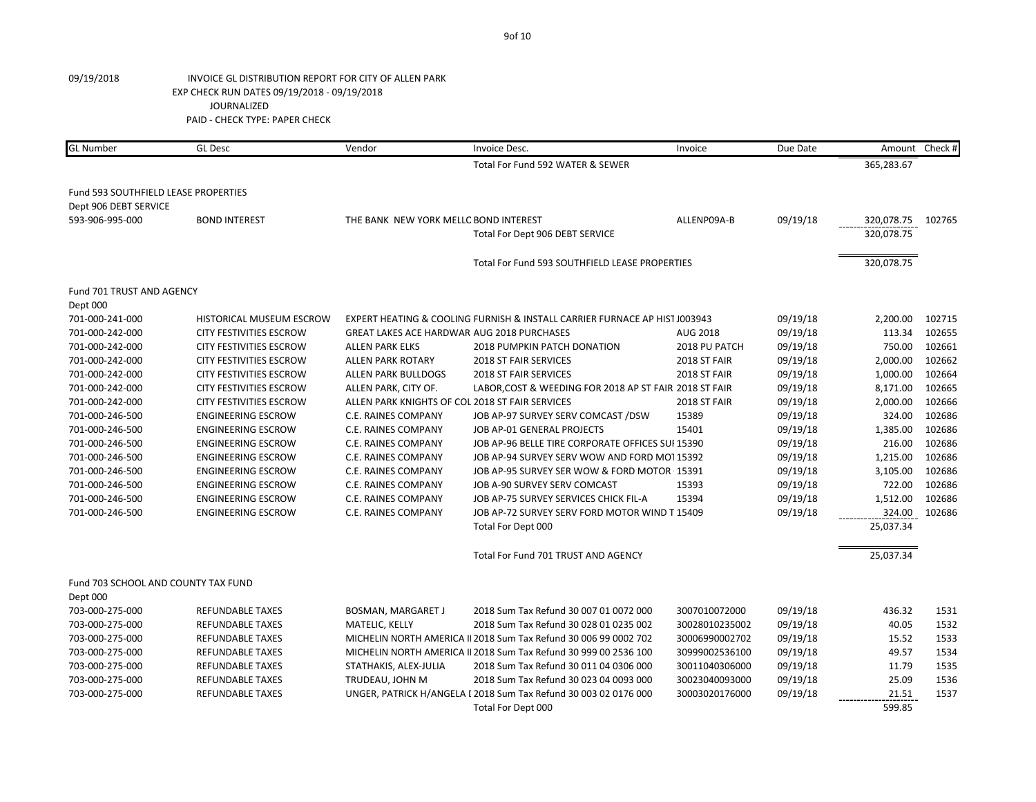| <b>GL Number</b>                     | <b>GL Desc</b>                  | Vendor                                          | Invoice Desc.                                                              | Invoice        | Due Date | Amount     | Check # |
|--------------------------------------|---------------------------------|-------------------------------------------------|----------------------------------------------------------------------------|----------------|----------|------------|---------|
|                                      |                                 |                                                 | Total For Fund 592 WATER & SEWER                                           |                |          | 365,283.67 |         |
| Fund 593 SOUTHFIELD LEASE PROPERTIES |                                 |                                                 |                                                                            |                |          |            |         |
| Dept 906 DEBT SERVICE                |                                 |                                                 |                                                                            |                |          |            |         |
| 593-906-995-000                      | <b>BOND INTEREST</b>            | THE BANK NEW YORK MELLC BOND INTEREST           |                                                                            | ALLENP09A-B    | 09/19/18 | 320,078.75 | 102765  |
|                                      |                                 |                                                 | Total For Dept 906 DEBT SERVICE                                            |                |          | 320,078.75 |         |
|                                      |                                 |                                                 | Total For Fund 593 SOUTHFIELD LEASE PROPERTIES                             |                |          | 320,078.75 |         |
| Fund 701 TRUST AND AGENCY            |                                 |                                                 |                                                                            |                |          |            |         |
| Dept 000                             |                                 |                                                 |                                                                            |                |          |            |         |
| 701-000-241-000                      | <b>HISTORICAL MUSEUM ESCROW</b> |                                                 | EXPERT HEATING & COOLING FURNISH & INSTALL CARRIER FURNACE AP HIST J003943 |                | 09/19/18 | 2,200.00   | 102715  |
| 701-000-242-000                      | <b>CITY FESTIVITIES ESCROW</b>  | GREAT LAKES ACE HARDWAR AUG 2018 PURCHASES      |                                                                            | AUG 2018       | 09/19/18 | 113.34     | 102655  |
| 701-000-242-000                      | <b>CITY FESTIVITIES ESCROW</b>  | <b>ALLEN PARK ELKS</b>                          | 2018 PUMPKIN PATCH DONATION                                                | 2018 PU PATCH  | 09/19/18 | 750.00     | 102661  |
| 701-000-242-000                      | <b>CITY FESTIVITIES ESCROW</b>  | <b>ALLEN PARK ROTARY</b>                        | 2018 ST FAIR SERVICES                                                      | 2018 ST FAIR   | 09/19/18 | 2,000.00   | 102662  |
| 701-000-242-000                      | <b>CITY FESTIVITIES ESCROW</b>  | <b>ALLEN PARK BULLDOGS</b>                      | <b>2018 ST FAIR SERVICES</b>                                               | 2018 ST FAIR   | 09/19/18 | 1,000.00   | 102664  |
| 701-000-242-000                      | <b>CITY FESTIVITIES ESCROW</b>  | ALLEN PARK, CITY OF.                            | LABOR, COST & WEEDING FOR 2018 AP ST FAIR 2018 ST FAIR                     |                | 09/19/18 | 8,171.00   | 102665  |
| 701-000-242-000                      | <b>CITY FESTIVITIES ESCROW</b>  | ALLEN PARK KNIGHTS OF COL 2018 ST FAIR SERVICES |                                                                            | 2018 ST FAIR   | 09/19/18 | 2,000.00   | 102666  |
| 701-000-246-500                      | <b>ENGINEERING ESCROW</b>       | C.E. RAINES COMPANY                             | JOB AP-97 SURVEY SERV COMCAST /DSW                                         | 15389          | 09/19/18 | 324.00     | 102686  |
| 701-000-246-500                      | <b>ENGINEERING ESCROW</b>       | C.E. RAINES COMPANY                             | JOB AP-01 GENERAL PROJECTS                                                 | 15401          | 09/19/18 | 1,385.00   | 102686  |
| 701-000-246-500                      | <b>ENGINEERING ESCROW</b>       | C.E. RAINES COMPANY                             | JOB AP-96 BELLE TIRE CORPORATE OFFICES SUI 15390                           |                | 09/19/18 | 216.00     | 102686  |
| 701-000-246-500                      | <b>ENGINEERING ESCROW</b>       | C.E. RAINES COMPANY                             | JOB AP-94 SURVEY SERV WOW AND FORD MOT 15392                               |                | 09/19/18 | 1,215.00   | 102686  |
| 701-000-246-500                      | <b>ENGINEERING ESCROW</b>       | C.E. RAINES COMPANY                             | JOB AP-95 SURVEY SER WOW & FORD MOTOR 15391                                |                | 09/19/18 | 3,105.00   | 102686  |
| 701-000-246-500                      | <b>ENGINEERING ESCROW</b>       | C.E. RAINES COMPANY                             | JOB A-90 SURVEY SERV COMCAST                                               | 15393          | 09/19/18 | 722.00     | 102686  |
| 701-000-246-500                      | <b>ENGINEERING ESCROW</b>       | C.E. RAINES COMPANY                             | JOB AP-75 SURVEY SERVICES CHICK FIL-A                                      | 15394          | 09/19/18 | 1,512.00   | 102686  |
| 701-000-246-500                      | <b>ENGINEERING ESCROW</b>       | C.E. RAINES COMPANY                             | JOB AP-72 SURVEY SERV FORD MOTOR WIND T 15409                              |                | 09/19/18 | 324.00     | 102686  |
|                                      |                                 |                                                 | Total For Dept 000                                                         |                |          | 25,037.34  |         |
|                                      |                                 |                                                 | Total For Fund 701 TRUST AND AGENCY                                        |                |          | 25,037.34  |         |
| Fund 703 SCHOOL AND COUNTY TAX FUND  |                                 |                                                 |                                                                            |                |          |            |         |
| Dept 000                             |                                 |                                                 |                                                                            |                |          |            |         |
| 703-000-275-000                      | <b>REFUNDABLE TAXES</b>         | BOSMAN, MARGARET J                              | 2018 Sum Tax Refund 30 007 01 0072 000                                     | 3007010072000  | 09/19/18 | 436.32     | 1531    |
| 703-000-275-000                      | <b>REFUNDABLE TAXES</b>         | MATELIC, KELLY                                  | 2018 Sum Tax Refund 30 028 01 0235 002                                     | 30028010235002 | 09/19/18 | 40.05      | 1532    |
| 703-000-275-000                      | <b>REFUNDABLE TAXES</b>         |                                                 | MICHELIN NORTH AMERICA II 2018 Sum Tax Refund 30 006 99 0002 702           | 30006990002702 | 09/19/18 | 15.52      | 1533    |
| 703-000-275-000                      | <b>REFUNDABLE TAXES</b>         |                                                 | MICHELIN NORTH AMERICA II 2018 Sum Tax Refund 30 999 00 2536 100           | 30999002536100 | 09/19/18 | 49.57      | 1534    |
| 703-000-275-000                      | <b>REFUNDABLE TAXES</b>         | STATHAKIS, ALEX-JULIA                           | 2018 Sum Tax Refund 30 011 04 0306 000                                     | 30011040306000 | 09/19/18 | 11.79      | 1535    |
| 703-000-275-000                      | <b>REFUNDABLE TAXES</b>         | TRUDEAU, JOHN M                                 | 2018 Sum Tax Refund 30 023 04 0093 000                                     | 30023040093000 | 09/19/18 | 25.09      | 1536    |
| 703-000-275-000                      | <b>REFUNDABLE TAXES</b>         |                                                 | UNGER, PATRICK H/ANGELA I 2018 Sum Tax Refund 30 003 02 0176 000           | 30003020176000 | 09/19/18 | 21.51      | 1537    |
|                                      |                                 |                                                 | Total For Dept 000                                                         |                |          | 599.85     |         |